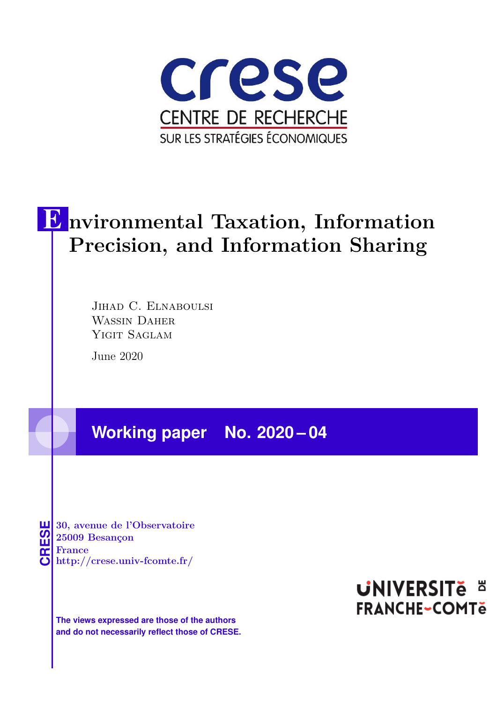

# E **nvironmental Taxation, Information Precision, and Information Sharing**

JIHAD C. ELNABOULSI WASSIN DAHER YIGIT SAGLAM

June 2020

## **Working paper No. 2020 – 04**

**CRESE 30, avenue de l'Observatoire<br>
25009 Besançon<br>
France<br>
<b>CRESE de l'Observatoire de l'Observatoire**<br> **http://crese.univ-fcomte.fr/ 25009 Besançon France**

**The views expressed are those of the authors and do not necessarily reflect those of CRESE.**

# **UNIVERSITE E FRANCHE-COMTe**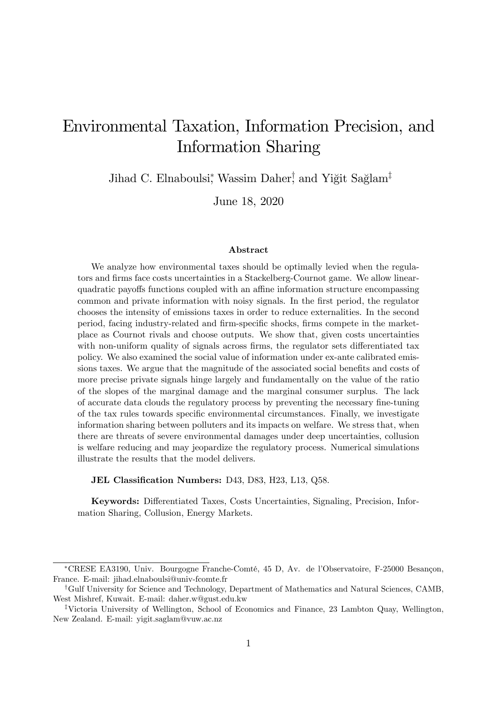## Environmental Taxation, Information Precision, and Information Sharing

Jihad C. Elnaboulsi,<sup>\*</sup> Wassim Daher,<sup>†</sup> and Yiğit Sağlam<sup>‡</sup>

June 18, 2020

#### Abstract

We analyze how environmental taxes should be optimally levied when the regulators and firms face costs uncertainties in a Stackelberg-Cournot game. We allow linearquadratic payoffs functions coupled with an affine information structure encompassing common and private information with noisy signals. In the first period, the regulator chooses the intensity of emissions taxes in order to reduce externalities. In the second period, facing industry-related and firm-specific shocks, firms compete in the marketplace as Cournot rivals and choose outputs. We show that, given costs uncertainties with non-uniform quality of signals across firms, the regulator sets differentiated tax policy. We also examined the social value of information under ex-ante calibrated emissions taxes. We argue that the magnitude of the associated social benefits and costs of more precise private signals hinge largely and fundamentally on the value of the ratio of the slopes of the marginal damage and the marginal consumer surplus. The lack of accurate data clouds the regulatory process by preventing the necessary fine-tuning of the tax rules towards specific environmental circumstances. Finally, we investigate information sharing between polluters and its impacts on welfare. We stress that, when there are threats of severe environmental damages under deep uncertainties, collusion is welfare reducing and may jeopardize the regulatory process. Numerical simulations illustrate the results that the model delivers.

JEL Classification Numbers: D43, D83, H23, L13, Q58.

Keywords: Differentiated Taxes, Costs Uncertainties, Signaling, Precision, Information Sharing, Collusion, Energy Markets.

<sup>\*</sup>CRESE EA3190, Univ. Bourgogne Franche-Comté, 45 D, Av. de l'Observatoire, F-25000 Besançon, France. E-mail: jihad.elnaboulsi@univ-fcomte.fr

<sup>&</sup>lt;sup>†</sup>Gulf University for Science and Technology, Department of Mathematics and Natural Sciences, CAMB, West Mishref, Kuwait. E-mail: daher.w@gust.edu.kw

<sup>&</sup>lt;sup>‡</sup>Victoria University of Wellington, School of Economics and Finance, 23 Lambton Quay, Wellington, New Zealand. E-mail: yigit.saglam@vuw.ac.nz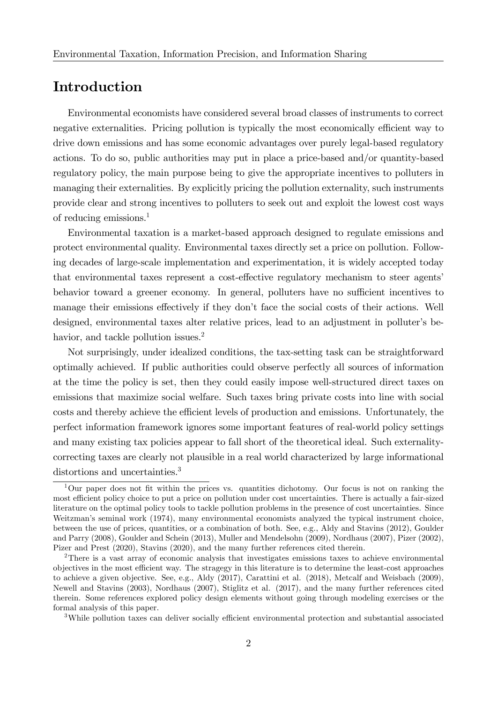## Introduction

Environmental economists have considered several broad classes of instruments to correct negative externalities. Pricing pollution is typically the most economically efficient way to drive down emissions and has some economic advantages over purely legal-based regulatory actions. To do so, public authorities may put in place a price-based and/or quantity-based regulatory policy, the main purpose being to give the appropriate incentives to polluters in managing their externalities. By explicitly pricing the pollution externality, such instruments provide clear and strong incentives to polluters to seek out and exploit the lowest cost ways of reducing emissions.<sup>1</sup>

Environmental taxation is a market-based approach designed to regulate emissions and protect environmental quality. Environmental taxes directly set a price on pollution. Following decades of large-scale implementation and experimentation, it is widely accepted today that environmental taxes represent a cost-effective regulatory mechanism to steer agents' behavior toward a greener economy. In general, polluters have no sufficient incentives to manage their emissions effectively if they don't face the social costs of their actions. Well designed, environmental taxes alter relative prices, lead to an adjustment in polluter's behavior, and tackle pollution issues.<sup>2</sup>

Not surprisingly, under idealized conditions, the tax-setting task can be straightforward optimally achieved. If public authorities could observe perfectly all sources of information at the time the policy is set, then they could easily impose well-structured direct taxes on emissions that maximize social welfare. Such taxes bring private costs into line with social costs and thereby achieve the efficient levels of production and emissions. Unfortunately, the perfect information framework ignores some important features of real-world policy settings and many existing tax policies appear to fall short of the theoretical ideal. Such externalitycorrecting taxes are clearly not plausible in a real world characterized by large informational distortions and uncertainties.<sup>3</sup>

<sup>3</sup>While pollution taxes can deliver socially efficient environmental protection and substantial associated

<sup>&</sup>lt;sup>1</sup>Our paper does not fit within the prices vs. quantities dichotomy. Our focus is not on ranking the most efficient policy choice to put a price on pollution under cost uncertainties. There is actually a fair-sized literature on the optimal policy tools to tackle pollution problems in the presence of cost uncertainties. Since Weitzman's seminal work (1974), many environmental economists analyzed the typical instrument choice, between the use of prices, quantities, or a combination of both. See, e.g., Aldy and Stavins (2012), Goulder and Parry (2008), Goulder and Schein (2013), Muller and Mendelsohn (2009), Nordhaus (2007), Pizer (2002), Pizer and Prest (2020), Stavins (2020), and the many further references cited therein.

<sup>2</sup>There is a vast array of economic analysis that investigates emissions taxes to achieve environmental objectives in the most efficient way. The stragegy in this literature is to determine the least-cost approaches to achieve a given objective. See, e.g., Aldy (2017), Carattini et al. (2018), Metcalf and Weisbach (2009), Newell and Stavins (2003), Nordhaus (2007), Stiglitz et al. (2017), and the many further references cited therein. Some references explored policy design elements without going through modeling exercises or the formal analysis of this paper.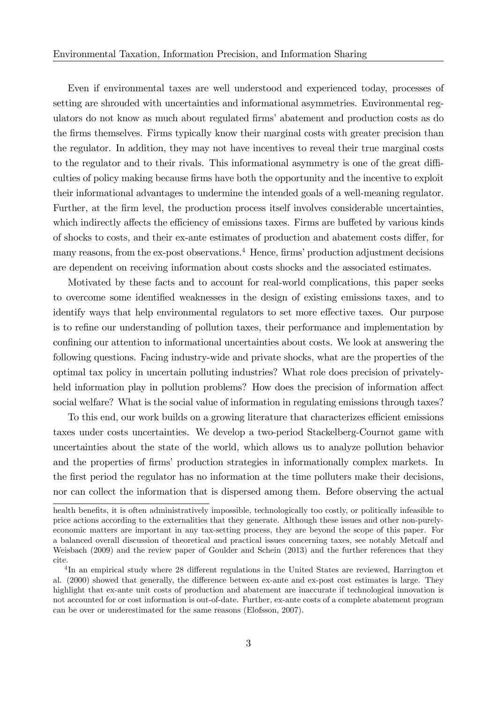Even if environmental taxes are well understood and experienced today, processes of setting are shrouded with uncertainties and informational asymmetries. Environmental regulators do not know as much about regulated firms' abatement and production costs as do the firms themselves. Firms typically know their marginal costs with greater precision than the regulator. In addition, they may not have incentives to reveal their true marginal costs to the regulator and to their rivals. This informational asymmetry is one of the great difficulties of policy making because firms have both the opportunity and the incentive to exploit their informational advantages to undermine the intended goals of a well-meaning regulator. Further, at the firm level, the production process itself involves considerable uncertainties, which indirectly affects the efficiency of emissions taxes. Firms are buffeted by various kinds of shocks to costs, and their ex-ante estimates of production and abatement costs differ, for many reasons, from the ex-post observations.<sup>4</sup> Hence, firms' production adjustment decisions are dependent on receiving information about costs shocks and the associated estimates.

Motivated by these facts and to account for real-world complications, this paper seeks to overcome some identified weaknesses in the design of existing emissions taxes, and to identify ways that help environmental regulators to set more effective taxes. Our purpose is to refine our understanding of pollution taxes, their performance and implementation by confining our attention to informational uncertainties about costs. We look at answering the following questions. Facing industry-wide and private shocks, what are the properties of the optimal tax policy in uncertain polluting industries? What role does precision of privatelyheld information play in pollution problems? How does the precision of information affect social welfare? What is the social value of information in regulating emissions through taxes?

To this end, our work builds on a growing literature that characterizes efficient emissions taxes under costs uncertainties. We develop a two-period Stackelberg-Cournot game with uncertainties about the state of the world, which allows us to analyze pollution behavior and the properties of firms' production strategies in informationally complex markets. In the first period the regulator has no information at the time polluters make their decisions, nor can collect the information that is dispersed among them. Before observing the actual

health benefits, it is often administratively impossible, technologically too costly, or politically infeasible to price actions according to the externalities that they generate. Although these issues and other non-purelyeconomic matters are important in any tax-setting process, they are beyond the scope of this paper. For a balanced overall discussion of theoretical and practical issues concerning taxes, see notably Metcalf and Weisbach (2009) and the review paper of Goulder and Schein (2013) and the further references that they cite.

<sup>&</sup>lt;sup>4</sup>In an empirical study where 28 different regulations in the United States are reviewed, Harrington et al. (2000) showed that generally, the difference between ex-ante and ex-post cost estimates is large. They highlight that ex-ante unit costs of production and abatement are inaccurate if technological innovation is not accounted for or cost information is out-of-date. Further, ex-ante costs of a complete abatement program can be over or underestimated for the same reasons (Elofsson, 2007).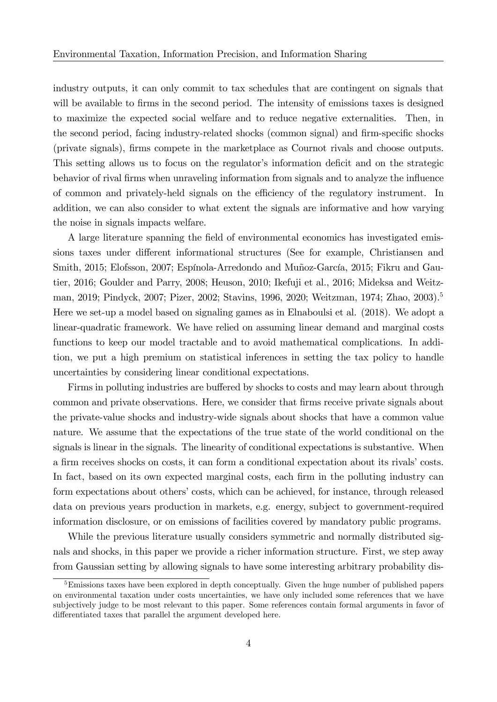industry outputs, it can only commit to tax schedules that are contingent on signals that will be available to firms in the second period. The intensity of emissions taxes is designed to maximize the expected social welfare and to reduce negative externalities. Then, in the second period, facing industry-related shocks (common signal) and firm-specific shocks (private signals), firms compete in the marketplace as Cournot rivals and choose outputs. This setting allows us to focus on the regulator's information deficit and on the strategic behavior of rival firms when unraveling information from signals and to analyze the influence of common and privately-held signals on the efficiency of the regulatory instrument. In addition, we can also consider to what extent the signals are informative and how varying the noise in signals impacts welfare.

A large literature spanning the field of environmental economics has investigated emissions taxes under different informational structures (See for example, Christiansen and Smith, 2015; Elofsson, 2007; Espínola-Arredondo and Muñoz-García, 2015; Fikru and Gautier, 2016; Goulder and Parry, 2008; Heuson, 2010; Ikefuji et al., 2016; Mideksa and Weitzman, 2019; Pindyck, 2007; Pizer, 2002; Stavins, 1996, 2020; Weitzman, 1974; Zhao, 2003).<sup>5</sup> Here we set-up a model based on signaling games as in Elnaboulsi et al. (2018). We adopt a linear-quadratic framework. We have relied on assuming linear demand and marginal costs functions to keep our model tractable and to avoid mathematical complications. In addition, we put a high premium on statistical inferences in setting the tax policy to handle uncertainties by considering linear conditional expectations.

Firms in polluting industries are buffered by shocks to costs and may learn about through common and private observations. Here, we consider that firms receive private signals about the private-value shocks and industry-wide signals about shocks that have a common value nature. We assume that the expectations of the true state of the world conditional on the signals is linear in the signals. The linearity of conditional expectations is substantive. When a firm receives shocks on costs, it can form a conditional expectation about its rivals' costs. In fact, based on its own expected marginal costs, each firm in the polluting industry can form expectations about others' costs, which can be achieved, for instance, through released data on previous years production in markets, e.g. energy, subject to government-required information disclosure, or on emissions of facilities covered by mandatory public programs.

While the previous literature usually considers symmetric and normally distributed signals and shocks, in this paper we provide a richer information structure. First, we step away from Gaussian setting by allowing signals to have some interesting arbitrary probability dis-

 $5$ Emissions taxes have been explored in depth conceptually. Given the huge number of published papers on environmental taxation under costs uncertainties, we have only included some references that we have subjectively judge to be most relevant to this paper. Some references contain formal arguments in favor of differentiated taxes that parallel the argument developed here.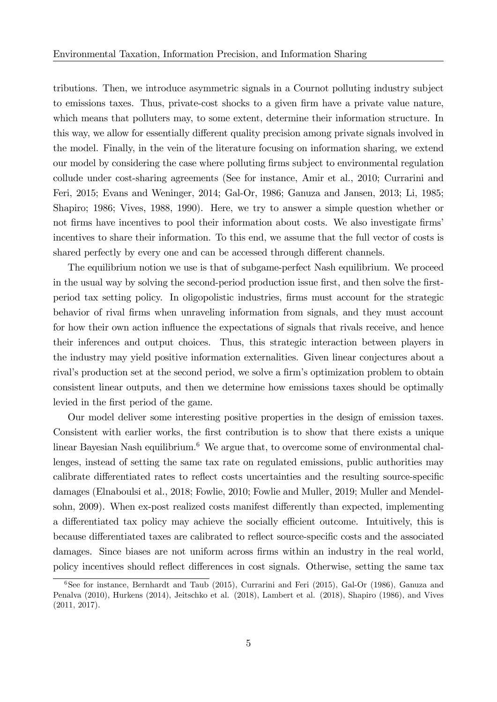tributions. Then, we introduce asymmetric signals in a Cournot polluting industry subject to emissions taxes. Thus, private-cost shocks to a given firm have a private value nature, which means that polluters may, to some extent, determine their information structure. In this way, we allow for essentially different quality precision among private signals involved in the model. Finally, in the vein of the literature focusing on information sharing, we extend our model by considering the case where polluting firms subject to environmental regulation collude under cost-sharing agreements (See for instance, Amir et al., 2010; Currarini and Feri, 2015; Evans and Weninger, 2014; Gal-Or, 1986; Ganuza and Jansen, 2013; Li, 1985; Shapiro; 1986; Vives, 1988, 1990). Here, we try to answer a simple question whether or not firms have incentives to pool their information about costs. We also investigate firms' incentives to share their information. To this end, we assume that the full vector of costs is shared perfectly by every one and can be accessed through different channels.

The equilibrium notion we use is that of subgame-perfect Nash equilibrium. We proceed in the usual way by solving the second-period production issue first, and then solve the firstperiod tax setting policy. In oligopolistic industries, Örms must account for the strategic behavior of rival firms when unraveling information from signals, and they must account for how their own action influence the expectations of signals that rivals receive, and hence their inferences and output choices. Thus, this strategic interaction between players in the industry may yield positive information externalities. Given linear conjectures about a rival's production set at the second period, we solve a firm's optimization problem to obtain consistent linear outputs, and then we determine how emissions taxes should be optimally levied in the first period of the game.

Our model deliver some interesting positive properties in the design of emission taxes. Consistent with earlier works, the first contribution is to show that there exists a unique linear Bayesian Nash equilibrium.<sup>6</sup> We argue that, to overcome some of environmental challenges, instead of setting the same tax rate on regulated emissions, public authorities may calibrate differentiated rates to reflect costs uncertainties and the resulting source-specific damages (Elnaboulsi et al., 2018; Fowlie, 2010; Fowlie and Muller, 2019; Muller and Mendelsohn, 2009). When ex-post realized costs manifest differently than expected, implementing a differentiated tax policy may achieve the socially efficient outcome. Intuitively, this is because differentiated taxes are calibrated to reflect source-specific costs and the associated damages. Since biases are not uniform across firms within an industry in the real world, policy incentives should reflect differences in cost signals. Otherwise, setting the same tax

 $6$ See for instance, Bernhardt and Taub (2015), Currarini and Feri (2015), Gal-Or (1986), Ganuza and Penalva (2010), Hurkens (2014), Jeitschko et al. (2018), Lambert et al. (2018), Shapiro (1986), and Vives (2011, 2017).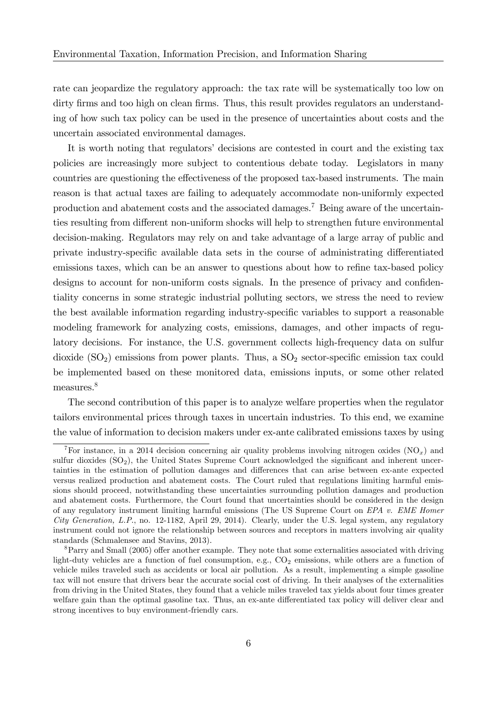rate can jeopardize the regulatory approach: the tax rate will be systematically too low on dirty firms and too high on clean firms. Thus, this result provides regulators an understanding of how such tax policy can be used in the presence of uncertainties about costs and the uncertain associated environmental damages.

It is worth noting that regulators' decisions are contested in court and the existing tax policies are increasingly more subject to contentious debate today. Legislators in many countries are questioning the effectiveness of the proposed tax-based instruments. The main reason is that actual taxes are failing to adequately accommodate non-uniformly expected production and abatement costs and the associated damages.<sup>7</sup> Being aware of the uncertainties resulting from different non-uniform shocks will help to strengthen future environmental decision-making. Regulators may rely on and take advantage of a large array of public and private industry-specific available data sets in the course of administrating differentiated emissions taxes, which can be an answer to questions about how to refine tax-based policy designs to account for non-uniform costs signals. In the presence of privacy and confidentiality concerns in some strategic industrial polluting sectors, we stress the need to review the best available information regarding industry-specific variables to support a reasonable modeling framework for analyzing costs, emissions, damages, and other impacts of regulatory decisions. For instance, the U.S. government collects high-frequency data on sulfur dioxide  $(SO<sub>2</sub>)$  emissions from power plants. Thus, a  $SO<sub>2</sub>$  sector-specific emission tax could be implemented based on these monitored data, emissions inputs, or some other related measures.<sup>8</sup>

The second contribution of this paper is to analyze welfare properties when the regulator tailors environmental prices through taxes in uncertain industries. To this end, we examine the value of information to decision makers under ex-ante calibrated emissions taxes by using

<sup>&</sup>lt;sup>7</sup>For instance, in a 2014 decision concerning air quality problems involving nitrogen oxides (NO<sub>x</sub>) and sulfur dioxides  $(SO<sub>2</sub>)$ , the United States Supreme Court acknowledged the significant and inherent uncertainties in the estimation of pollution damages and differences that can arise between ex-ante expected versus realized production and abatement costs. The Court ruled that regulations limiting harmful emissions should proceed, notwithstanding these uncertainties surrounding pollution damages and production and abatement costs. Furthermore, the Court found that uncertainties should be considered in the design of any regulatory instrument limiting harmful emissions (The US Supreme Court on  $EPA$  v. EME Homer City Generation, L.P., no. 12-1182, April 29, 2014). Clearly, under the U.S. legal system, any regulatory instrument could not ignore the relationship between sources and receptors in matters involving air quality standards (Schmalensee and Stavins, 2013).

 ${}^{8}$ Parry and Small (2005) offer another example. They note that some externalities associated with driving light-duty vehicles are a function of fuel consumption, e.g.,  $CO<sub>2</sub>$  emissions, while others are a function of vehicle miles traveled such as accidents or local air pollution. As a result, implementing a simple gasoline tax will not ensure that drivers bear the accurate social cost of driving. In their analyses of the externalities from driving in the United States, they found that a vehicle miles traveled tax yields about four times greater welfare gain than the optimal gasoline tax. Thus, an ex-ante differentiated tax policy will deliver clear and strong incentives to buy environment-friendly cars.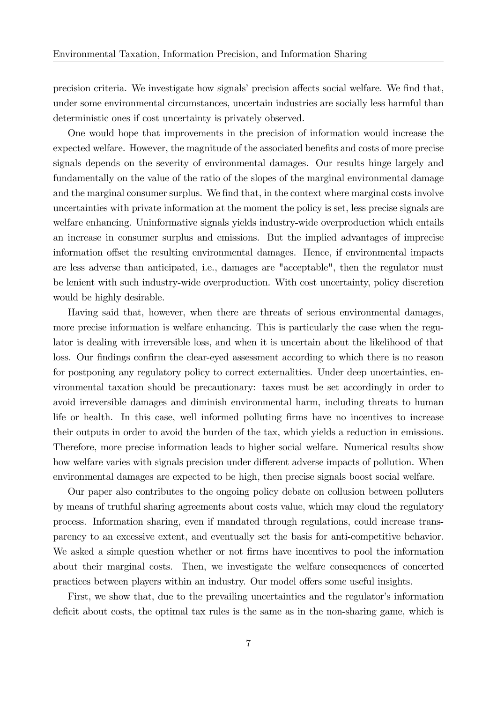precision criteria. We investigate how signals' precision affects social welfare. We find that, under some environmental circumstances, uncertain industries are socially less harmful than deterministic ones if cost uncertainty is privately observed.

One would hope that improvements in the precision of information would increase the expected welfare. However, the magnitude of the associated benefits and costs of more precise signals depends on the severity of environmental damages. Our results hinge largely and fundamentally on the value of the ratio of the slopes of the marginal environmental damage and the marginal consumer surplus. We find that, in the context where marginal costs involve uncertainties with private information at the moment the policy is set, less precise signals are welfare enhancing. Uninformative signals yields industry-wide overproduction which entails an increase in consumer surplus and emissions. But the implied advantages of imprecise information offset the resulting environmental damages. Hence, if environmental impacts are less adverse than anticipated, i.e., damages are "acceptable", then the regulator must be lenient with such industry-wide overproduction. With cost uncertainty, policy discretion would be highly desirable.

Having said that, however, when there are threats of serious environmental damages, more precise information is welfare enhancing. This is particularly the case when the regulator is dealing with irreversible loss, and when it is uncertain about the likelihood of that loss. Our findings confirm the clear-eyed assessment according to which there is no reason for postponing any regulatory policy to correct externalities. Under deep uncertainties, environmental taxation should be precautionary: taxes must be set accordingly in order to avoid irreversible damages and diminish environmental harm, including threats to human life or health. In this case, well informed polluting firms have no incentives to increase their outputs in order to avoid the burden of the tax, which yields a reduction in emissions. Therefore, more precise information leads to higher social welfare. Numerical results show how welfare varies with signals precision under different adverse impacts of pollution. When environmental damages are expected to be high, then precise signals boost social welfare.

Our paper also contributes to the ongoing policy debate on collusion between polluters by means of truthful sharing agreements about costs value, which may cloud the regulatory process. Information sharing, even if mandated through regulations, could increase transparency to an excessive extent, and eventually set the basis for anti-competitive behavior. We asked a simple question whether or not firms have incentives to pool the information about their marginal costs. Then, we investigate the welfare consequences of concerted practices between players within an industry. Our model offers some useful insights.

First, we show that, due to the prevailing uncertainties and the regulator's information deficit about costs, the optimal tax rules is the same as in the non-sharing game, which is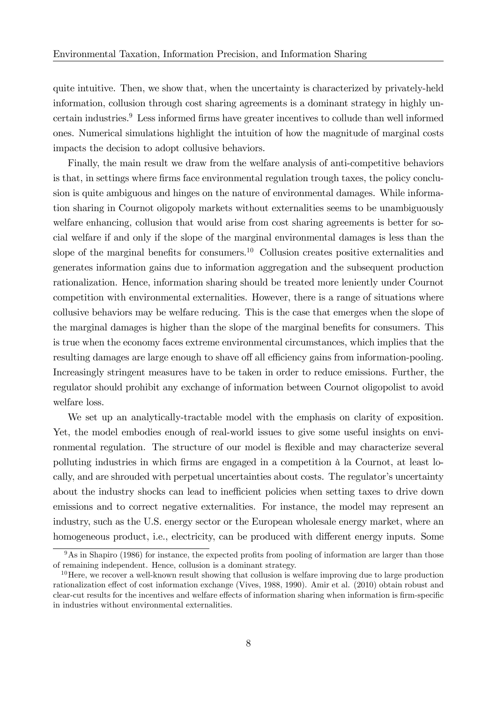quite intuitive. Then, we show that, when the uncertainty is characterized by privately-held information, collusion through cost sharing agreements is a dominant strategy in highly uncertain industries.<sup>9</sup> Less informed firms have greater incentives to collude than well informed ones. Numerical simulations highlight the intuition of how the magnitude of marginal costs impacts the decision to adopt collusive behaviors.

Finally, the main result we draw from the welfare analysis of anti-competitive behaviors is that, in settings where firms face environmental regulation trough taxes, the policy conclusion is quite ambiguous and hinges on the nature of environmental damages. While information sharing in Cournot oligopoly markets without externalities seems to be unambiguously welfare enhancing, collusion that would arise from cost sharing agreements is better for social welfare if and only if the slope of the marginal environmental damages is less than the slope of the marginal benefits for consumers.<sup>10</sup> Collusion creates positive externalities and generates information gains due to information aggregation and the subsequent production rationalization. Hence, information sharing should be treated more leniently under Cournot competition with environmental externalities. However, there is a range of situations where collusive behaviors may be welfare reducing. This is the case that emerges when the slope of the marginal damages is higher than the slope of the marginal benefits for consumers. This is true when the economy faces extreme environmental circumstances, which implies that the resulting damages are large enough to shave off all efficiency gains from information-pooling. Increasingly stringent measures have to be taken in order to reduce emissions. Further, the regulator should prohibit any exchange of information between Cournot oligopolist to avoid welfare loss.

We set up an analytically-tractable model with the emphasis on clarity of exposition. Yet, the model embodies enough of real-world issues to give some useful insights on environmental regulation. The structure of our model is flexible and may characterize several polluting industries in which firms are engaged in a competition à la Cournot, at least locally, and are shrouded with perpetual uncertainties about costs. The regulator's uncertainty about the industry shocks can lead to inefficient policies when setting taxes to drive down emissions and to correct negative externalities. For instance, the model may represent an industry, such as the U.S. energy sector or the European wholesale energy market, where an homogeneous product, i.e., electricity, can be produced with different energy inputs. Some

 $9$ As in Shapiro (1986) for instance, the expected profits from pooling of information are larger than those of remaining independent. Hence, collusion is a dominant strategy.

 $10$  Here, we recover a well-known result showing that collusion is welfare improving due to large production rationalization effect of cost information exchange (Vives, 1988, 1990). Amir et al. (2010) obtain robust and clear-cut results for the incentives and welfare effects of information sharing when information is firm-specific in industries without environmental externalities.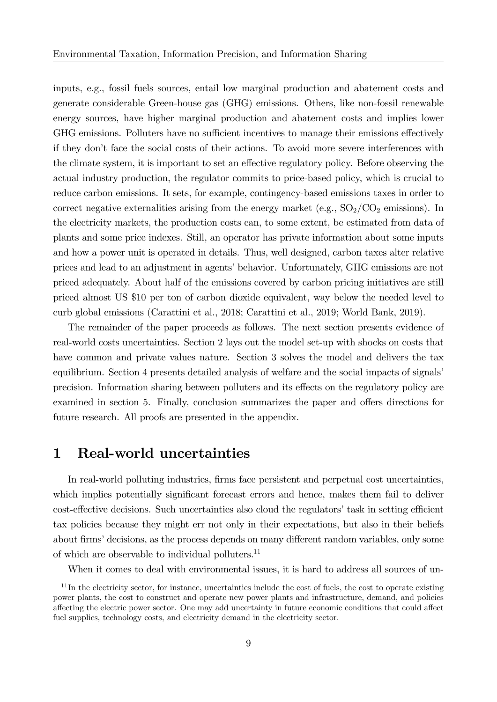inputs, e.g., fossil fuels sources, entail low marginal production and abatement costs and generate considerable Green-house gas (GHG) emissions. Others, like non-fossil renewable energy sources, have higher marginal production and abatement costs and implies lower GHG emissions. Polluters have no sufficient incentives to manage their emissions effectively if they don't face the social costs of their actions. To avoid more severe interferences with the climate system, it is important to set an effective regulatory policy. Before observing the actual industry production, the regulator commits to price-based policy, which is crucial to reduce carbon emissions. It sets, for example, contingency-based emissions taxes in order to correct negative externalities arising from the energy market (e.g.,  $SO_2/CO_2$  emissions). In the electricity markets, the production costs can, to some extent, be estimated from data of plants and some price indexes. Still, an operator has private information about some inputs and how a power unit is operated in details. Thus, well designed, carbon taxes alter relative prices and lead to an adjustment in agents' behavior. Unfortunately, GHG emissions are not priced adequately. About half of the emissions covered by carbon pricing initiatives are still priced almost US \$10 per ton of carbon dioxide equivalent, way below the needed level to curb global emissions (Carattini et al., 2018; Carattini et al., 2019; World Bank, 2019).

The remainder of the paper proceeds as follows. The next section presents evidence of real-world costs uncertainties. Section 2 lays out the model set-up with shocks on costs that have common and private values nature. Section 3 solves the model and delivers the tax equilibrium. Section 4 presents detailed analysis of welfare and the social impacts of signals' precision. Information sharing between polluters and its effects on the regulatory policy are examined in section 5. Finally, conclusion summarizes the paper and offers directions for future research. All proofs are presented in the appendix.

#### 1 Real-world uncertainties

In real-world polluting industries, firms face persistent and perpetual cost uncertainties. which implies potentially significant forecast errors and hence, makes them fail to deliver cost-effective decisions. Such uncertainties also cloud the regulators' task in setting efficient tax policies because they might err not only in their expectations, but also in their beliefs about firms' decisions, as the process depends on many different random variables, only some of which are observable to individual polluters. $^{11}$ 

When it comes to deal with environmental issues, it is hard to address all sources of un-

 $11$ In the electricity sector, for instance, uncertainties include the cost of fuels, the cost to operate existing power plants, the cost to construct and operate new power plants and infrastructure, demand, and policies affecting the electric power sector. One may add uncertainty in future economic conditions that could affect fuel supplies, technology costs, and electricity demand in the electricity sector.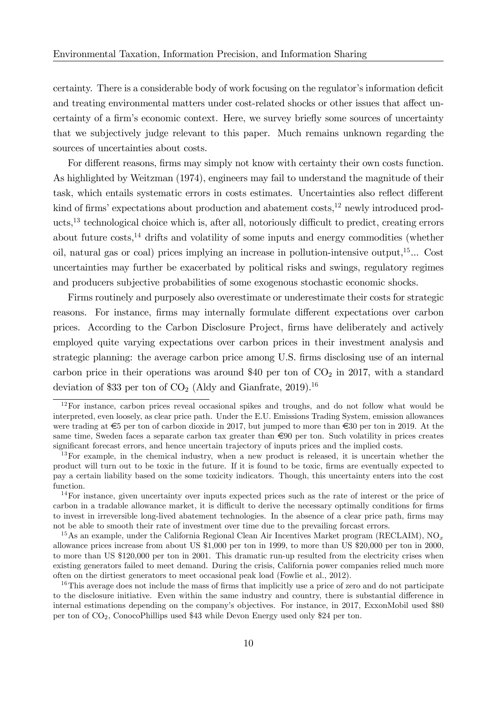certainty. There is a considerable body of work focusing on the regulator's information deficit and treating environmental matters under cost-related shocks or other issues that affect uncertainty of a firm's economic context. Here, we survey briefly some sources of uncertainty that we subjectively judge relevant to this paper. Much remains unknown regarding the sources of uncertainties about costs.

For different reasons, firms may simply not know with certainty their own costs function. As highlighted by Weitzman (1974), engineers may fail to understand the magnitude of their task, which entails systematic errors in costs estimates. Uncertainties also reflect different kind of firms' expectations about production and abatement costs,<sup>12</sup> newly introduced products, $^{13}$  technological choice which is, after all, notoriously difficult to predict, creating errors about future  $\cos t s$ ,<sup>14</sup> drifts and volatility of some inputs and energy commodities (whether oil, natural gas or coal) prices implying an increase in pollution-intensive output,  $15...$  Cost uncertainties may further be exacerbated by political risks and swings, regulatory regimes and producers subjective probabilities of some exogenous stochastic economic shocks.

Firms routinely and purposely also overestimate or underestimate their costs for strategic reasons. For instance, firms may internally formulate different expectations over carbon prices. According to the Carbon Disclosure Project, Örms have deliberately and actively employed quite varying expectations over carbon prices in their investment analysis and strategic planning: the average carbon price among U.S. Örms disclosing use of an internal carbon price in their operations was around \$40 per ton of  $CO<sub>2</sub>$  in 2017, with a standard deviation of \$33 per ton of  $CO<sub>2</sub>$  (Aldy and Gianfrate, 2019).<sup>16</sup>

 $12$ For instance, carbon prices reveal occasional spikes and troughs, and do not follow what would be interpreted, even loosely, as clear price path. Under the E.U. Emissions Trading System, emission allowances were trading at  $\epsilon$ 5 per ton of carbon dioxide in 2017, but jumped to more than  $\epsilon$ 30 per ton in 2019. At the same time, Sweden faces a separate carbon tax greater than  $\epsilon 90$  per ton. Such volatility in prices creates significant forecast errors, and hence uncertain trajectory of inputs prices and the implied costs.

 $13$ For example, in the chemical industry, when a new product is released, it is uncertain whether the product will turn out to be toxic in the future. If it is found to be toxic, firms are eventually expected to pay a certain liability based on the some toxicity indicators. Though, this uncertainty enters into the cost function.

<sup>14</sup>For instance, given uncertainty over inputs expected prices such as the rate of interest or the price of carbon in a tradable allowance market, it is difficult to derive the necessary optimally conditions for firms to invest in irreversible long-lived abatement technologies. In the absence of a clear price path, Örms may not be able to smooth their rate of investment over time due to the prevailing forcast errors.

<sup>&</sup>lt;sup>15</sup>As an example, under the California Regional Clean Air Incentives Market program (RECLAIM), NO<sub>x</sub> allowance prices increase from about US \$1,000 per ton in 1999, to more than US \$20,000 per ton in 2000, to more than US \$120,000 per ton in 2001. This dramatic run-up resulted from the electricity crises when existing generators failed to meet demand. During the crisis, California power companies relied much more often on the dirtiest generators to meet occasional peak load (Fowlie et al., 2012).

<sup>&</sup>lt;sup>16</sup>This average does not include the mass of firms that implicitly use a price of zero and do not participate to the disclosure initiative. Even within the same industry and country, there is substantial difference in internal estimations depending on the companyís objectives. For instance, in 2017, ExxonMobil used \$80 per ton of CO2, ConocoPhillips used \$43 while Devon Energy used only \$24 per ton.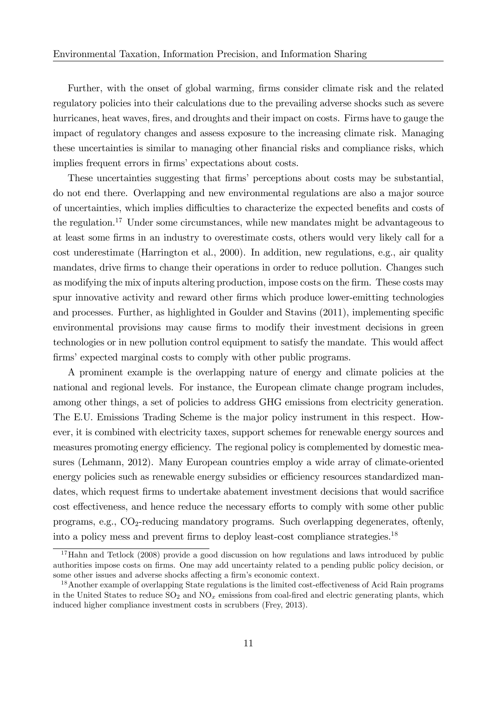Further, with the onset of global warming, firms consider climate risk and the related regulatory policies into their calculations due to the prevailing adverse shocks such as severe hurricanes, heat waves, fires, and droughts and their impact on costs. Firms have to gauge the impact of regulatory changes and assess exposure to the increasing climate risk. Managing these uncertainties is similar to managing other financial risks and compliance risks, which implies frequent errors in firms' expectations about costs.

These uncertainties suggesting that firms' perceptions about costs may be substantial, do not end there. Overlapping and new environmental regulations are also a major source of uncertainties, which implies difficulties to characterize the expected benefits and costs of the regulation.<sup>17</sup> Under some circumstances, while new mandates might be advantageous to at least some firms in an industry to overestimate costs, others would very likely call for a cost underestimate (Harrington et al., 2000). In addition, new regulations, e.g., air quality mandates, drive firms to change their operations in order to reduce pollution. Changes such as modifying the mix of inputs altering production, impose costs on the firm. These costs may spur innovative activity and reward other firms which produce lower-emitting technologies and processes. Further, as highlighted in Goulder and Stavins (2011), implementing specific environmental provisions may cause firms to modify their investment decisions in green technologies or in new pollution control equipment to satisfy the mandate. This would affect firms' expected marginal costs to comply with other public programs.

A prominent example is the overlapping nature of energy and climate policies at the national and regional levels. For instance, the European climate change program includes, among other things, a set of policies to address GHG emissions from electricity generation. The E.U. Emissions Trading Scheme is the major policy instrument in this respect. However, it is combined with electricity taxes, support schemes for renewable energy sources and measures promoting energy efficiency. The regional policy is complemented by domestic measures (Lehmann, 2012). Many European countries employ a wide array of climate-oriented energy policies such as renewable energy subsidies or efficiency resources standardized mandates, which request firms to undertake abatement investment decisions that would sacrifice cost effectiveness, and hence reduce the necessary efforts to comply with some other public programs, e.g.,  $CO_2$ -reducing mandatory programs. Such overlapping degenerates, oftenly, into a policy mess and prevent firms to deploy least-cost compliance strategies.<sup>18</sup>

<sup>&</sup>lt;sup>17</sup>Hahn and Tetlock (2008) provide a good discussion on how regulations and laws introduced by public authorities impose costs on firms. One may add uncertainty related to a pending public policy decision, or some other issues and adverse shocks affecting a firm's economic context.

<sup>&</sup>lt;sup>18</sup>Another example of overlapping State regulations is the limited cost-effectiveness of Acid Rain programs in the United States to reduce  $SO_2$  and  $NO_x$  emissions from coal-fired and electric generating plants, which induced higher compliance investment costs in scrubbers (Frey, 2013).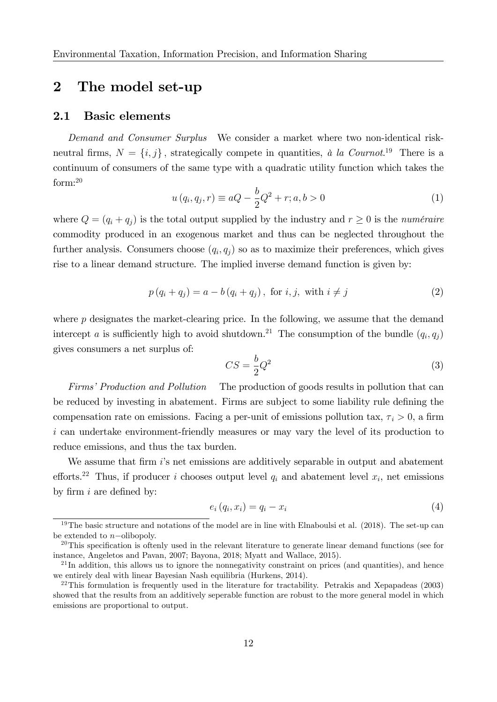## 2 The model set-up

#### 2.1 Basic elements

Demand and Consumer Surplus We consider a market where two non-identical riskneutral firms,  $N = \{i, j\}$ , strategically compete in quantities, à la Cournot.<sup>19</sup> There is a continuum of consumers of the same type with a quadratic utility function which takes the form:<sup>20</sup>

$$
u(q_i, q_j, r) \equiv aQ - \frac{b}{2}Q^2 + r; a, b > 0
$$
 (1)

where  $Q = (q_i + q_j)$  is the total output supplied by the industry and  $r \geq 0$  is the numéraire commodity produced in an exogenous market and thus can be neglected throughout the further analysis. Consumers choose  $(q_i, q_j)$  so as to maximize their preferences, which gives rise to a linear demand structure. The implied inverse demand function is given by:

$$
p(q_i + q_j) = a - b(q_i + q_j), \text{ for } i, j, \text{ with } i \neq j
$$
\n
$$
(2)
$$

where  $p$  designates the market-clearing price. In the following, we assume that the demand intercept a is sufficiently high to avoid shutdown.<sup>21</sup> The consumption of the bundle  $(q_i, q_j)$ gives consumers a net surplus of:

$$
CS = \frac{b}{2}Q^2\tag{3}
$$

Firms' Production and Pollution The production of goods results in pollution that can be reduced by investing in abatement. Firms are subject to some liability rule defining the compensation rate on emissions. Facing a per-unit of emissions pollution tax,  $\tau_i > 0$ , a firm i can undertake environment-friendly measures or may vary the level of its production to reduce emissions, and thus the tax burden.

We assume that firm  $i$ 's net emissions are additively separable in output and abatement efforts.<sup>22</sup> Thus, if producer *i* chooses output level  $q_i$  and abatement level  $x_i$ , net emissions by firm  $i$  are defined by:

$$
e_i(q_i, x_i) = q_i - x_i \tag{4}
$$

<sup>&</sup>lt;sup>19</sup>The basic structure and notations of the model are in line with Elnaboulsi et al. (2018). The set-up can be extended to  $n$ -olibopoly.

 $^{20}$ This specification is oftenly used in the relevant literature to generate linear demand functions (see for instance, Angeletos and Pavan, 2007; Bayona, 2018; Myatt and Wallace, 2015).

 $^{21}$ In addition, this allows us to ignore the nonnegativity constraint on prices (and quantities), and hence we entirely deal with linear Bayesian Nash equilibria (Hurkens, 2014).

 $22$ This formulation is frequently used in the literature for tractability. Petrakis and Xepapadeas (2003) showed that the results from an additively seperable function are robust to the more general model in which emissions are proportional to output.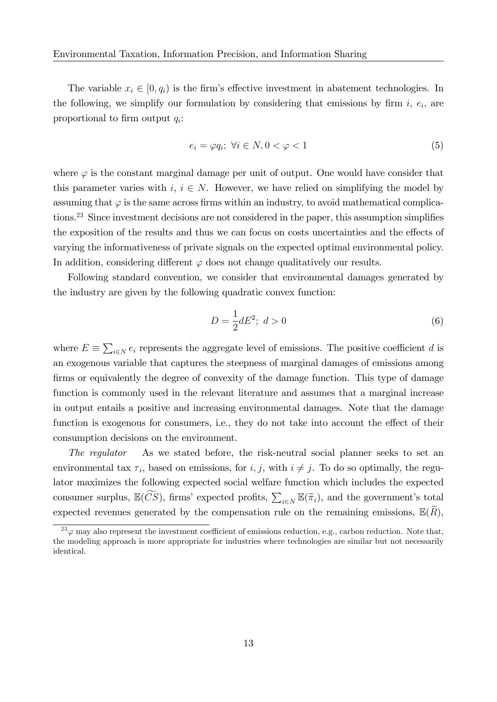The variable  $x_i \in [0, q_i)$  is the firm's effective investment in abatement technologies. In the following, we simplify our formulation by considering that emissions by firm  $i, e_i$ , are proportional to firm output  $q_i$ :

$$
e_i = \varphi q_i; \ \forall i \in N, 0 < \varphi < 1 \tag{5}
$$

where  $\varphi$  is the constant marginal damage per unit of output. One would have consider that this parameter varies with  $i, i \in N$ . However, we have relied on simplifying the model by assuming that  $\varphi$  is the same across firms within an industry, to avoid mathematical complications.<sup>23</sup> Since investment decisions are not considered in the paper, this assumption simplifies the exposition of the results and thus we can focus on costs uncertainties and the effects of varying the informativeness of private signals on the expected optimal environmental policy. In addition, considering different  $\varphi$  does not change qualitatively our results.

Following standard convention, we consider that environmental damages generated by the industry are given by the following quadratic convex function:

$$
D = \frac{1}{2}dE^2; \ d > 0 \tag{6}
$$

where  $E \equiv \sum_{i \in N} e_i$  represents the aggregate level of emissions. The positive coefficient d is an exogenous variable that captures the steepness of marginal damages of emissions among firms or equivalently the degree of convexity of the damage function. This type of damage function is commonly used in the relevant literature and assumes that a marginal increase in output entails a positive and increasing environmental damages. Note that the damage function is exogenous for consumers, i.e., they do not take into account the effect of their consumption decisions on the environment.

The regulator As we stated before, the risk-neutral social planner seeks to set an environmental tax  $\tau_i$ , based on emissions, for  $i, j$ , with  $i \neq j$ . To do so optimally, the regulator maximizes the following expected social welfare function which includes the expected consumer surplus,  $\mathbb{E}(\widetilde{CS})$ , firms' expected profits,  $\sum_{i\in N} \mathbb{E}(\widetilde{\pi}_i)$ , and the government's total expected revenues generated by the compensation rule on the remaining emissions,  $\mathbb{E}(R)$ ,

 $^{23}$   $\varphi$  may also represent the investment coefficient of emissions reduction, e.g., carbon reduction. Note that, the modeling approach is more appropriate for industries where technologies are similar but not necessarily identical.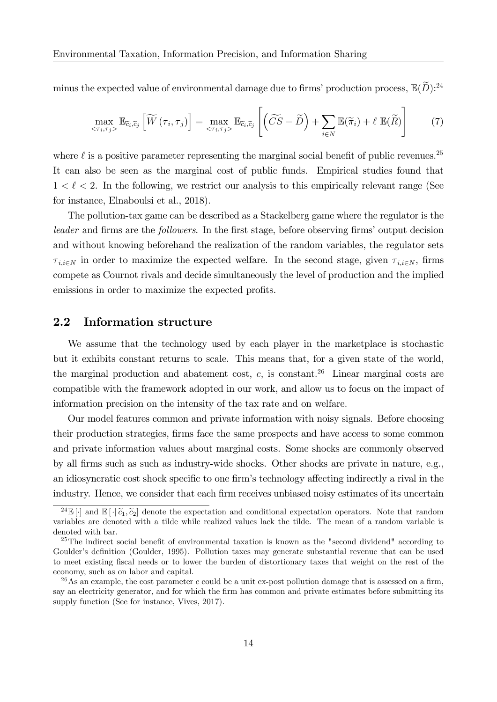minus the expected value of environmental damage due to firms' production process,  $\mathbb{E}(D)^{24}$ 

$$
\max_{\langle \tau_i, \tau_j \rangle} \mathbb{E}_{\widetilde{c}_i, \widetilde{c}_j} \left[ \widetilde{W} \left( \tau_i, \tau_j \right) \right] = \max_{\langle \tau_i, \tau_j \rangle} \mathbb{E}_{\widetilde{c}_i, \widetilde{c}_j} \left[ \left( \widetilde{CS} - \widetilde{D} \right) + \sum_{i \in N} \mathbb{E}(\widetilde{\pi}_i) + \ell \ \mathbb{E}(\widetilde{R}) \right] \tag{7}
$$

where  $\ell$  is a positive parameter representing the marginal social benefit of public revenues.<sup>25</sup> It can also be seen as the marginal cost of public funds. Empirical studies found that  $1 < \ell < 2$ . In the following, we restrict our analysis to this empirically relevant range (See for instance, Elnaboulsi et al., 2018).

The pollution-tax game can be described as a Stackelberg game where the regulator is the leader and firms are the followers. In the first stage, before observing firms' output decision and without knowing beforehand the realization of the random variables, the regulator sets  $\tau_{i,i\in N}$  in order to maximize the expected welfare. In the second stage, given  $\tau_{i,i\in N}$ , firms compete as Cournot rivals and decide simultaneously the level of production and the implied emissions in order to maximize the expected profits.

#### 2.2 Information structure

We assume that the technology used by each player in the marketplace is stochastic but it exhibits constant returns to scale. This means that, for a given state of the world, the marginal production and abatement cost,  $c$ , is constant.<sup>26</sup> Linear marginal costs are compatible with the framework adopted in our work, and allow us to focus on the impact of information precision on the intensity of the tax rate and on welfare.

Our model features common and private information with noisy signals. Before choosing their production strategies, firms face the same prospects and have access to some common and private information values about marginal costs. Some shocks are commonly observed by all Örms such as such as industry-wide shocks. Other shocks are private in nature, e.g., an idiosyncratic cost shock specific to one firm's technology affecting indirectly a rival in the industry. Hence, we consider that each firm receives unbiased noisy estimates of its uncertain

<sup>&</sup>lt;sup>24</sup>E[.] and E[.] $\tilde{c}_1$ ,  $\tilde{c}_2$ ] denote the expectation and conditional expectation operators. Note that random variables are denoted with a tilde while realized values lack the tilde. The mean of a random variable is denoted with bar.

 $^{25}$ The indirect social benefit of environmental taxation is known as the "second dividend" according to Goulder's definition (Goulder, 1995). Pollution taxes may generate substantial revenue that can be used to meet existing Öscal needs or to lower the burden of distortionary taxes that weight on the rest of the economy, such as on labor and capital.

<sup>&</sup>lt;sup>26</sup>As an example, the cost parameter c could be a unit ex-post pollution damage that is assessed on a firm, say an electricity generator, and for which the firm has common and private estimates before submitting its supply function (See for instance, Vives, 2017).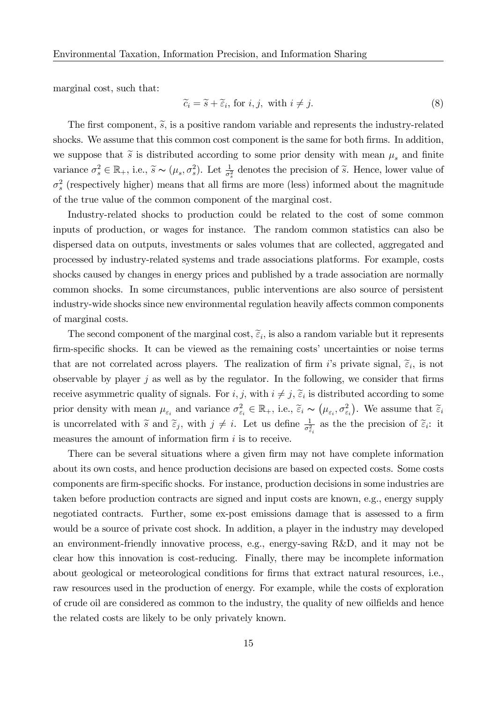marginal cost, such that:

$$
\widetilde{c}_i = \widetilde{s} + \widetilde{\epsilon}_i, \text{ for } i, j, \text{ with } i \neq j. \tag{8}
$$

The first component,  $\tilde{s}$ , is a positive random variable and represents the industry-related shocks. We assume that this common cost component is the same for both firms. In addition, we suppose that  $\tilde{s}$  is distributed according to some prior density with mean  $\mu_s$  and finite variance  $\sigma_s^2 \in \mathbb{R}_+$ , i.e.,  $\widetilde{s} \sim (\mu_s, \sigma_s^2)$ . Let  $\frac{1}{\sigma_s^2}$  denotes the precision of  $\widetilde{s}$ . Hence, lower value of  $\sigma_s^2$  (respectively higher) means that all firms are more (less) informed about the magnitude of the true value of the common component of the marginal cost.

Industry-related shocks to production could be related to the cost of some common inputs of production, or wages for instance. The random common statistics can also be dispersed data on outputs, investments or sales volumes that are collected, aggregated and processed by industry-related systems and trade associations platforms. For example, costs shocks caused by changes in energy prices and published by a trade association are normally common shocks. In some circumstances, public interventions are also source of persistent industry-wide shocks since new environmental regulation heavily affects common components of marginal costs.

The second component of the marginal cost,  $\tilde{\varepsilon}_i$ , is also a random variable but it represents firm-specific shocks. It can be viewed as the remaining costs' uncertainties or noise terms that are not correlated across players. The realization of firm i's private signal,  $\tilde{\varepsilon}_i$ , is not observable by player  $j$  as well as by the regulator. In the following, we consider that firms receive asymmetric quality of signals. For  $i, j$ , with  $i \neq j$ ,  $\widetilde{\varepsilon}_i$  is distributed according to some prior density with mean  $\mu_{\varepsilon_i}$  and variance  $\sigma_{\varepsilon_i}^2 \in \mathbb{R}_+$ , i.e.,  $\tilde{\varepsilon}_i \sim (\mu_{\varepsilon_i}, \sigma_{\varepsilon_i}^2)$ . We assume that  $\tilde{\varepsilon}_i$ is uncorrelated with  $\tilde{s}$  and  $\tilde{\varepsilon}_j$ , with  $j \neq i$ . Let us define  $\frac{1}{\sigma_{\varepsilon_i}^2}$  as the the precision of  $\tilde{\varepsilon}_i$ : it measures the amount of information firm  $i$  is to receive.

There can be several situations where a given firm may not have complete information about its own costs, and hence production decisions are based on expected costs. Some costs components are firm-specific shocks. For instance, production decisions in some industries are taken before production contracts are signed and input costs are known, e.g., energy supply negotiated contracts. Further, some ex-post emissions damage that is assessed to a firm would be a source of private cost shock. In addition, a player in the industry may developed an environment-friendly innovative process, e.g., energy-saving R&D, and it may not be clear how this innovation is cost-reducing. Finally, there may be incomplete information about geological or meteorological conditions for firms that extract natural resources, i.e., raw resources used in the production of energy. For example, while the costs of exploration of crude oil are considered as common to the industry, the quality of new oilfields and hence the related costs are likely to be only privately known.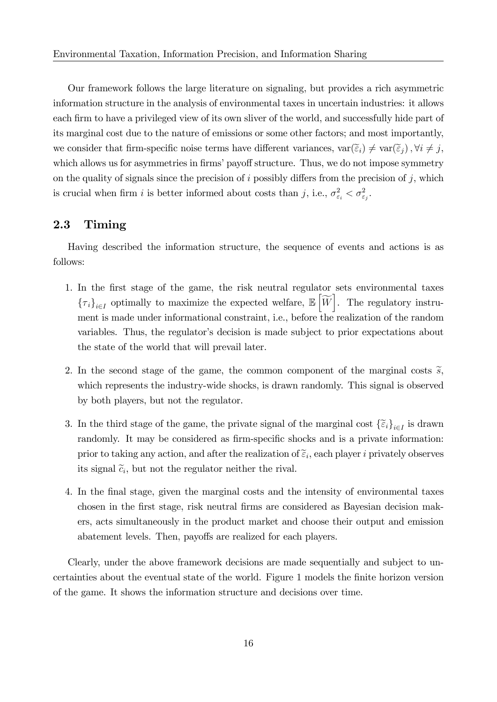Our framework follows the large literature on signaling, but provides a rich asymmetric information structure in the analysis of environmental taxes in uncertain industries: it allows each firm to have a privileged view of its own sliver of the world, and successfully hide part of its marginal cost due to the nature of emissions or some other factors; and most importantly, we consider that firm-specific noise terms have different variances,  $var(\widetilde{\epsilon}_i) \neq var(\widetilde{\epsilon}_j)$ ,  $\forall i \neq j$ , which allows us for asymmetries in firms' payoff structure. Thus, we do not impose symmetry on the quality of signals since the precision of i possibly differs from the precision of j, which is crucial when firm i is better informed about costs than j, i.e.,  $\sigma_{\varepsilon_i}^2 < \sigma_{\varepsilon_j}^2$ .

#### 2.3 Timing

Having described the information structure, the sequence of events and actions is as follows:

- 1. In the Örst stage of the game, the risk neutral regulator sets environmental taxes  ${\{\tau_i\}}_{i\in I}$  optimally to maximize the expected welfare,  $\mathbb{E}\left[\widetilde{W}\right]$ . The regulatory instrument is made under informational constraint, i.e., before the realization of the random variables. Thus, the regulator's decision is made subject to prior expectations about the state of the world that will prevail later.
- 2. In the second stage of the game, the common component of the marginal costs  $\tilde{s}$ , which represents the industry-wide shocks, is drawn randomly. This signal is observed by both players, but not the regulator.
- 3. In the third stage of the game, the private signal of the marginal cost  $\{\tilde{\epsilon}_i\}_{i\in I}$  is drawn randomly. It may be considered as firm-specific shocks and is a private information: prior to taking any action, and after the realization of  $\tilde{\epsilon}_i$ , each player *i* privately observes its signal  $\tilde{c}_i$ , but not the regulator neither the rival.
- 4. In the Önal stage, given the marginal costs and the intensity of environmental taxes chosen in the Örst stage, risk neutral Örms are considered as Bayesian decision makers, acts simultaneously in the product market and choose their output and emission abatement levels. Then, payoffs are realized for each players.

Clearly, under the above framework decisions are made sequentially and subject to uncertainties about the eventual state of the world. Figure 1 models the Önite horizon version of the game. It shows the information structure and decisions over time.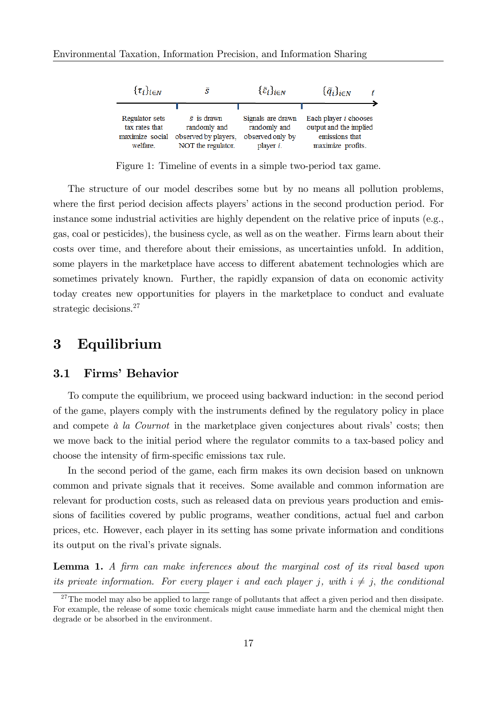

Figure 1: Timeline of events in a simple two-period tax game.

The structure of our model describes some but by no means all pollution problems, where the first period decision affects players' actions in the second production period. For instance some industrial activities are highly dependent on the relative price of inputs (e.g., gas, coal or pesticides), the business cycle, as well as on the weather. Firms learn about their costs over time, and therefore about their emissions, as uncertainties unfold. In addition, some players in the marketplace have access to different abatement technologies which are sometimes privately known. Further, the rapidly expansion of data on economic activity today creates new opportunities for players in the marketplace to conduct and evaluate strategic decisions.<sup>27</sup>

#### 3 Equilibrium

#### 3.1 Firms' Behavior

To compute the equilibrium, we proceed using backward induction: in the second period of the game, players comply with the instruments defined by the regulatory policy in place and compete  $\dot{a}$  la Cournot in the marketplace given conjectures about rivals' costs; then we move back to the initial period where the regulator commits to a tax-based policy and choose the intensity of firm-specific emissions tax rule.

In the second period of the game, each firm makes its own decision based on unknown common and private signals that it receives. Some available and common information are relevant for production costs, such as released data on previous years production and emissions of facilities covered by public programs, weather conditions, actual fuel and carbon prices, etc. However, each player in its setting has some private information and conditions its output on the rival's private signals.

Lemma 1. A firm can make inferences about the marginal cost of its rival based upon its private information. For every player i and each player *i*, with  $i \neq j$ , the conditional

 $27$ The model may also be applied to large range of pollutants that affect a given period and then dissipate. For example, the release of some toxic chemicals might cause immediate harm and the chemical might then degrade or be absorbed in the environment.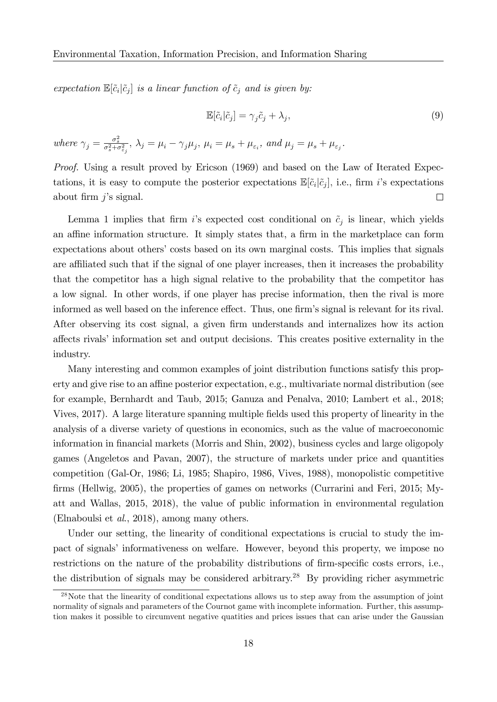expectation  $\mathbb{E}[\tilde{c}_i|\tilde{c}_j]$  is a linear function of  $\tilde{c}_j$  and is given by:

$$
\mathbb{E}[\tilde{c}_i|\tilde{c}_j] = \gamma_j \tilde{c}_j + \lambda_j,\tag{9}
$$

where  $\gamma_j = \frac{\sigma_s^2}{\sigma_s^2 + \sigma_{\varepsilon_j}^2}$ ,  $\lambda_j = \mu_i - \gamma_j \mu_j$ ,  $\mu_i = \mu_s + \mu_{\varepsilon_i}$ , and  $\mu_j = \mu_s + \mu_{\varepsilon_j}$ .

Proof. Using a result proved by Ericson (1969) and based on the Law of Iterated Expectations, it is easy to compute the posterior expectations  $\mathbb{E}[\tilde{c}_i|\tilde{c}_j]$ , i.e., firm *i*'s expectations about firm  $i$ 's signal.  $\Box$ 

Lemma 1 implies that firm i's expected cost conditional on  $\tilde{c}_j$  is linear, which yields an affine information structure. It simply states that, a firm in the marketplace can form expectations about others' costs based on its own marginal costs. This implies that signals are affiliated such that if the signal of one player increases, then it increases the probability that the competitor has a high signal relative to the probability that the competitor has a low signal. In other words, if one player has precise information, then the rival is more informed as well based on the inference effect. Thus, one firm's signal is relevant for its rival. After observing its cost signal, a given firm understands and internalizes how its action affects rivals' information set and output decisions. This creates positive externality in the industry.

Many interesting and common examples of joint distribution functions satisfy this property and give rise to an affine posterior expectation, e.g., multivariate normal distribution (see for example, Bernhardt and Taub, 2015; Ganuza and Penalva, 2010; Lambert et al., 2018; Vives, 2017). A large literature spanning multiple Öelds used this property of linearity in the analysis of a diverse variety of questions in economics, such as the value of macroeconomic information in financial markets (Morris and Shin, 2002), business cycles and large oligopoly games (Angeletos and Pavan, 2007), the structure of markets under price and quantities competition (Gal-Or, 1986; Li, 1985; Shapiro, 1986, Vives, 1988), monopolistic competitive firms (Hellwig, 2005), the properties of games on networks (Currarini and Feri, 2015; Myatt and Wallas, 2015, 2018), the value of public information in environmental regulation (Elnaboulsi et al., 2018), among many others.

Under our setting, the linearity of conditional expectations is crucial to study the impact of signals' informativeness on welfare. However, beyond this property, we impose no restrictions on the nature of the probability distributions of firm-specific costs errors, i.e., the distribution of signals may be considered arbitrary.<sup>28</sup> By providing richer asymmetric

<sup>28</sup>Note that the linearity of conditional expectations allows us to step away from the assumption of joint normality of signals and parameters of the Cournot game with incomplete information. Further, this assumption makes it possible to circumvent negative quatities and prices issues that can arise under the Gaussian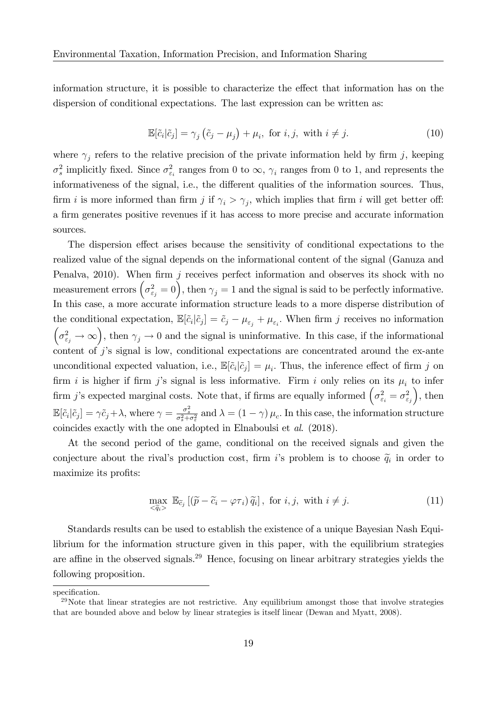information structure, it is possible to characterize the effect that information has on the dispersion of conditional expectations. The last expression can be written as:

$$
\mathbb{E}[\tilde{c}_i|\tilde{c}_j] = \gamma_j(\tilde{c}_j - \mu_j) + \mu_i, \text{ for } i, j, \text{ with } i \neq j.
$$
 (10)

where  $\gamma_j$  refers to the relative precision of the private information held by firm j, keeping  $\sigma_s^2$  implicitly fixed. Since  $\sigma_{\varepsilon_i}^2$  ranges from 0 to  $\infty$ ,  $\gamma_i$  ranges from 0 to 1, and represents the informativeness of the signal, i.e., the different qualities of the information sources. Thus, firm *i* is more informed than firm *j* if  $\gamma_i > \gamma_j$ , which implies that firm *i* will get better off: a firm generates positive revenues if it has access to more precise and accurate information sources.

The dispersion effect arises because the sensitivity of conditional expectations to the realized value of the signal depends on the informational content of the signal (Ganuza and Penalva, 2010). When firm  $j$  receives perfect information and observes its shock with no measurement errors  $(\sigma_{\varepsilon_j}^2 = 0)$ , then  $\gamma_j = 1$  and the signal is said to be perfectly informative. In this case, a more accurate information structure leads to a more disperse distribution of the conditional expectation,  $\mathbb{E}[\tilde{c}_i|\tilde{c}_j] = \tilde{c}_j - \mu_{\varepsilon_j} + \mu_{\varepsilon_i}$ . When firm j receives no information  $(\sigma_{\varepsilon_j}^2 \to \infty)$ , then  $\gamma_j \to 0$  and the signal is uninformative. In this case, if the informational content of  $j$ 's signal is low, conditional expectations are concentrated around the ex-ante unconditional expected valuation, i.e.,  $\mathbb{E}[\tilde{c}_i|\tilde{c}_j] = \mu_i$ . Thus, the inference effect of firm j on firm i is higher if firm j's signal is less informative. Firm i only relies on its  $\mu_i$  to infer firm j's expected marginal costs. Note that, if firms are equally informed  $\left(\sigma_{\varepsilon_i}^2 = \sigma_{\varepsilon_j}^2\right)$  $\big)$ , then  $\mathbb{E}[\tilde{c}_i|\tilde{c}_j] = \gamma \tilde{c}_j + \lambda$ , where  $\gamma = \frac{\sigma_s^2}{\sigma_s^2 + \sigma_{\varepsilon}^2}$  and  $\lambda = (1 - \gamma) \mu_c$ . In this case, the information structure coincides exactly with the one adopted in Elnaboulsi et al. (2018).

At the second period of the game, conditional on the received signals and given the conjecture about the rival's production cost, firm i's problem is to choose  $\tilde{q}_i$  in order to maximize its profits:

$$
\max_{\tilde{q}_i > \mathbb{E}_{\tilde{c}_j} \left[ \left( \tilde{p} - \tilde{c}_i - \varphi \tau_i \right) \tilde{q}_i \right], \text{ for } i, j, \text{ with } i \neq j. \tag{11}
$$

Standards results can be used to establish the existence of a unique Bayesian Nash Equilibrium for the information structure given in this paper, with the equilibrium strategies are affine in the observed signals.<sup>29</sup> Hence, focusing on linear arbitrary strategies yields the following proposition.

specification.

 $29$ Note that linear strategies are not restrictive. Any equilibrium amongst those that involve strategies that are bounded above and below by linear strategies is itself linear (Dewan and Myatt, 2008).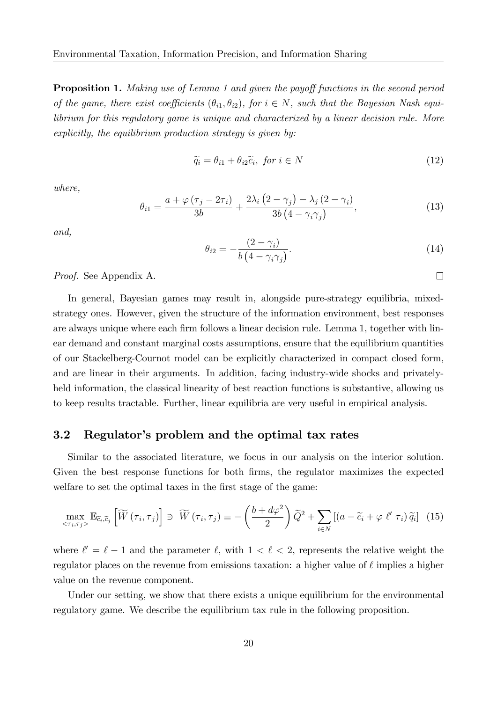**Proposition 1.** Making use of Lemma 1 and given the payoff functions in the second period of the game, there exist coefficients  $(\theta_{i1}, \theta_{i2})$ , for  $i \in N$ , such that the Bayesian Nash equilibrium for this regulatory game is unique and characterized by a linear decision rule. More explicitly, the equilibrium production strategy is given by:

$$
\widetilde{q}_i = \theta_{i1} + \theta_{i2}\widetilde{c}_i, \text{ for } i \in N
$$
\n<sup>(12)</sup>

where,

$$
\theta_{i1} = \frac{a + \varphi(\tau_j - 2\tau_i)}{3b} + \frac{2\lambda_i (2 - \gamma_j) - \lambda_j (2 - \gamma_i)}{3b (4 - \gamma_i \gamma_j)},
$$
\n(13)

and,

$$
\theta_{i2} = -\frac{(2 - \gamma_i)}{b \left(4 - \gamma_i \gamma_j\right)}.\tag{14}
$$

 $\Box$ 

Proof. See Appendix A.

In general, Bayesian games may result in, alongside pure-strategy equilibria, mixedstrategy ones. However, given the structure of the information environment, best responses are always unique where each firm follows a linear decision rule. Lemma 1, together with linear demand and constant marginal costs assumptions, ensure that the equilibrium quantities of our Stackelberg-Cournot model can be explicitly characterized in compact closed form, and are linear in their arguments. In addition, facing industry-wide shocks and privatelyheld information, the classical linearity of best reaction functions is substantive, allowing us to keep results tractable. Further, linear equilibria are very useful in empirical analysis.

#### 3.2 Regulator's problem and the optimal tax rates

Similar to the associated literature, we focus in our analysis on the interior solution. Given the best response functions for both firms, the regulator maximizes the expected welfare to set the optimal taxes in the first stage of the game:

$$
\max_{\langle \tau_i, \tau_j \rangle} \mathbb{E}_{\widetilde{c}_i, \widetilde{c}_j} \left[ \widetilde{W} \left( \tau_i, \tau_j \right) \right] \ni \widetilde{W} \left( \tau_i, \tau_j \right) \equiv -\left( \frac{b + d\varphi^2}{2} \right) \widetilde{Q}^2 + \sum_{i \in N} \left[ \left( a - \widetilde{c}_i + \varphi \ \ell' \ \tau_i \right) \widetilde{q}_i \right] \tag{15}
$$

where  $\ell' = \ell - 1$  and the parameter  $\ell$ , with  $1 < \ell < 2$ , represents the relative weight the regulator places on the revenue from emissions taxation: a higher value of  $\ell$  implies a higher value on the revenue component.

Under our setting, we show that there exists a unique equilibrium for the environmental regulatory game. We describe the equilibrium tax rule in the following proposition.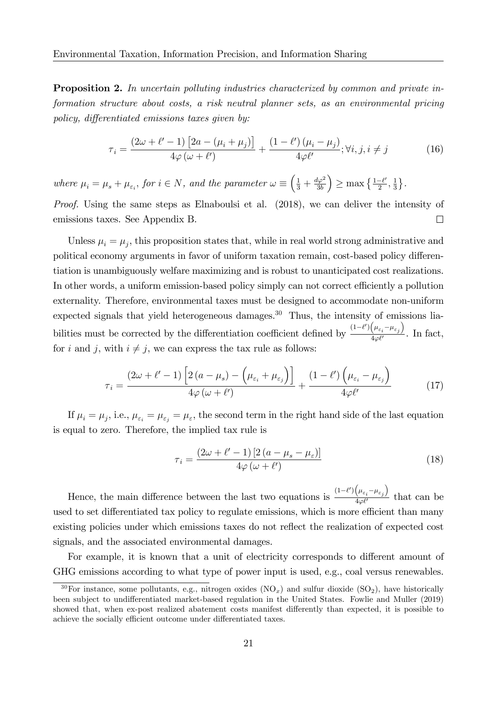**Proposition 2.** In uncertain polluting industries characterized by common and private information structure about costs, a risk neutral planner sets, as an environmental pricing policy, differentiated emissions taxes given by:

$$
\tau_i = \frac{(2\omega + \ell' - 1)\left[2a - (\mu_i + \mu_j)\right]}{4\varphi(\omega + \ell')} + \frac{(1 - \ell')(\mu_i - \mu_j)}{4\varphi\ell'}; \forall i, j, i \neq j \tag{16}
$$

where  $\mu_i = \mu_s + \mu_{\varepsilon_i}$ , for  $i \in N$ , and the parameter  $\omega \equiv \left(\frac{1}{3} + \frac{d\varphi^2}{3b}\right)$ 3b )  $\geq \max\left\{\frac{1-\ell'}{2}\right\}$  $\frac{-\ell'}{2},\frac{1}{3}$  $\frac{1}{3}$ .

Proof. Using the same steps as Elnaboulsi et al. (2018), we can deliver the intensity of emissions taxes. See Appendix B.  $\Box$ 

Unless  $\mu_i = \mu_j$ , this proposition states that, while in real world strong administrative and political economy arguments in favor of uniform taxation remain, cost-based policy differentiation is unambiguously welfare maximizing and is robust to unanticipated cost realizations. In other words, a uniform emission-based policy simply can not correct efficiently a pollution externality. Therefore, environmental taxes must be designed to accommodate non-uniform expected signals that yield heterogeneous damages.<sup>30</sup> Thus, the intensity of emissions liabilities must be corrected by the differentiation coefficient defined by  $\frac{(1-\ell')(\mu_{\varepsilon_i}-\mu_{\varepsilon_j})}{4\ell\Omega(\ell')}$  $\frac{\sqrt{e_i} + e_j}{4\varphi \ell'}$ . In fact, for i and j, with  $i \neq j$ , we can express the tax rule as follows:

$$
\tau_i = \frac{(2\omega + \ell' - 1) \left[2\left(a - \mu_s\right) - \left(\mu_{\varepsilon_i} + \mu_{\varepsilon_j}\right)\right]}{4\varphi\left(\omega + \ell'\right)} + \frac{(1 - \ell') \left(\mu_{\varepsilon_i} - \mu_{\varepsilon_j}\right)}{4\varphi\ell'}\tag{17}
$$

If  $\mu_i = \mu_j$ , i.e.,  $\mu_{\varepsilon_i} = \mu_{\varepsilon_j} = \mu_{\varepsilon}$ , the second term in the right hand side of the last equation is equal to zero. Therefore, the implied tax rule is

$$
\tau_i = \frac{(2\omega + \ell' - 1) [2 (a - \mu_s - \mu_\varepsilon)]}{4\varphi (\omega + \ell')}
$$
\n(18)

Hence, the main difference between the last two equations is  $\frac{(1-\ell')(\mu_{\varepsilon_i}-\mu_{\varepsilon_j})}{4\pi\ell'}$  $\frac{\sqrt{e_i - e_j}}{4\varphi \ell'}$  that can be used to set differentiated tax policy to regulate emissions, which is more efficient than many existing policies under which emissions taxes do not reflect the realization of expected cost signals, and the associated environmental damages.

For example, it is known that a unit of electricity corresponds to different amount of GHG emissions according to what type of power input is used, e.g., coal versus renewables.

<sup>&</sup>lt;sup>30</sup>For instance, some pollutants, e.g., nitrogen oxides  $(NO<sub>x</sub>)$  and sulfur dioxide  $(SO<sub>2</sub>)$ , have historically been subject to undifferentiated market-based regulation in the United States. Fowlie and Muller (2019) showed that, when ex-post realized abatement costs manifest differently than expected, it is possible to achieve the socially efficient outcome under differentiated taxes.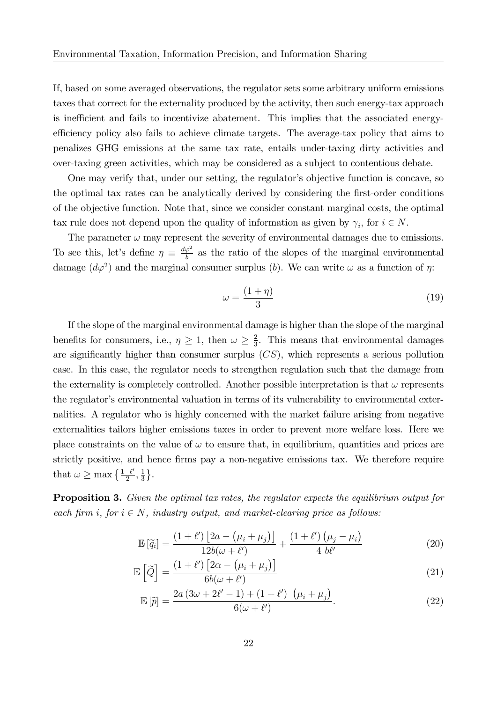If, based on some averaged observations, the regulator sets some arbitrary uniform emissions taxes that correct for the externality produced by the activity, then such energy-tax approach is inefficient and fails to incentivize abatement. This implies that the associated energyefficiency policy also fails to achieve climate targets. The average-tax policy that aims to penalizes GHG emissions at the same tax rate, entails under-taxing dirty activities and over-taxing green activities, which may be considered as a subject to contentious debate.

One may verify that, under our setting, the regulator's objective function is concave, so the optimal tax rates can be analytically derived by considering the Örst-order conditions of the objective function. Note that, since we consider constant marginal costs, the optimal tax rule does not depend upon the quality of information as given by  $\gamma_i$ , for  $i \in N$ .

The parameter  $\omega$  may represent the severity of environmental damages due to emissions. To see this, let's define  $\eta \equiv \frac{d\varphi^2}{b}$  $\frac{\varphi^2}{b}$  as the ratio of the slopes of the marginal environmental damage  $(d\varphi^2)$  and the marginal consumer surplus (b). We can write  $\omega$  as a function of  $\eta$ :

$$
\omega = \frac{(1+\eta)}{3} \tag{19}
$$

If the slope of the marginal environmental damage is higher than the slope of the marginal benefits for consumers, i.e.,  $\eta \geq 1$ , then  $\omega \geq \frac{2}{3}$  $\frac{2}{3}$ . This means that environmental damages are significantly higher than consumer surplus  $(CS)$ , which represents a serious pollution case. In this case, the regulator needs to strengthen regulation such that the damage from the externality is completely controlled. Another possible interpretation is that  $\omega$  represents the regulator's environmental valuation in terms of its vulnerability to environmental externalities. A regulator who is highly concerned with the market failure arising from negative externalities tailors higher emissions taxes in order to prevent more welfare loss. Here we place constraints on the value of  $\omega$  to ensure that, in equilibrium, quantities and prices are strictly positive, and hence firms pay a non-negative emissions tax. We therefore require that  $\omega \ge \max\left\{\frac{1-\ell'}{2}\right\}$  $\frac{-\ell'}{2},\frac{1}{3}$  $\frac{1}{3}$ .

**Proposition 3.** Given the optimal tax rates, the regulator expects the equilibrium output for each firm i, for  $i \in N$ , industry output, and market-clearing price as follows:

$$
\mathbb{E}\left[\widetilde{q}_i\right] = \frac{\left(1+\ell'\right)\left[2a - \left(\mu_i + \mu_j\right)\right]}{12b(\omega+\ell')} + \frac{\left(1+\ell'\right)\left(\mu_j - \mu_i\right)}{4 b\ell'}\tag{20}
$$

$$
\mathbb{E}\left[\tilde{Q}\right] = \frac{(1+\ell')\left[2\alpha - \left(\mu_i + \mu_j\right)\right]}{6b(\omega + \ell')}\tag{21}
$$

$$
\mathbb{E}\left[\widetilde{p}\right] = \frac{2a\left(3\omega + 2\ell' - 1\right) + \left(1 + \ell'\right)\,\left(\mu_i + \mu_j\right)}{6(\omega + \ell')}.\tag{22}
$$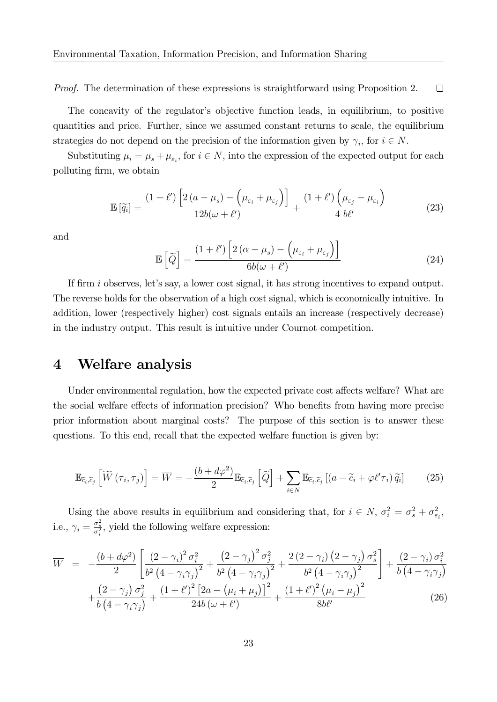Proof. The determination of these expressions is straightforward using Proposition 2.  $\Box$ 

The concavity of the regulator's objective function leads, in equilibrium, to positive quantities and price. Further, since we assumed constant returns to scale, the equilibrium strategies do not depend on the precision of the information given by  $\gamma_i$ , for  $i \in N$ .

Substituting  $\mu_i = \mu_s + \mu_{\varepsilon_i}$ , for  $i \in N$ , into the expression of the expected output for each polluting Örm, we obtain

$$
\mathbb{E}\left[\widetilde{q}_i\right] = \frac{(1+\ell')\left[2\left(a-\mu_s\right) - \left(\mu_{\varepsilon_i} + \mu_{\varepsilon_j}\right)\right]}{12b(\omega+\ell')} + \frac{(1+\ell')\left(\mu_{\varepsilon_j} - \mu_{\varepsilon_i}\right)}{4\ b\ell'}\tag{23}
$$

and

$$
\mathbb{E}\left[\widetilde{Q}\right] = \frac{(1+\ell')\left[2\left(\alpha-\mu_s\right) - \left(\mu_{\varepsilon_i} + \mu_{\varepsilon_j}\right)\right]}{6b(\omega+\ell')}\tag{24}
$$

If firm i observes, let's say, a lower cost signal, it has strong incentives to expand output. The reverse holds for the observation of a high cost signal, which is economically intuitive. In addition, lower (respectively higher) cost signals entails an increase (respectively decrease) in the industry output. This result is intuitive under Cournot competition.

### 4 Welfare analysis

Under environmental regulation, how the expected private cost affects welfare? What are the social welfare effects of information precision? Who benefits from having more precise prior information about marginal costs? The purpose of this section is to answer these questions. To this end, recall that the expected welfare function is given by:

$$
\mathbb{E}_{\widetilde{c}_i,\widetilde{c}_j} \left[ \widetilde{W} \left( \tau_i, \tau_j \right) \right] = \overline{W} = -\frac{\left( b + d\varphi^2 \right)}{2} \mathbb{E}_{\widetilde{c}_i,\widetilde{c}_j} \left[ \widetilde{Q} \right] + \sum_{i \in N} \mathbb{E}_{\widetilde{c}_i,\widetilde{c}_j} \left[ \left( a - \widetilde{c}_i + \varphi \ell' \tau_i \right) \widetilde{q}_i \right] \tag{25}
$$

Using the above results in equilibrium and considering that, for  $i \in N$ ,  $\sigma_i^2 = \sigma_s^2 + \sigma_{\varepsilon_i}^2$ , i.e.,  $\gamma_i = \frac{\sigma_s^2}{\sigma_i^2}$ , yield the following welfare expression:

$$
\overline{W} = -\frac{(b+d\varphi^2)}{2} \left[ \frac{(2-\gamma_i)^2 \sigma_i^2}{b^2 (4-\gamma_i \gamma_j)^2} + \frac{(2-\gamma_j)^2 \sigma_j^2}{b^2 (4-\gamma_i \gamma_j)^2} + \frac{2(2-\gamma_i) (2-\gamma_j) \sigma_s^2}{b^2 (4-\gamma_i \gamma_j)^2} \right] + \frac{(2-\gamma_i) \sigma_i^2}{b (4-\gamma_i \gamma_j)} + \frac{(2-\gamma_j) \sigma_j^2}{b (4-\gamma_i \gamma_j)} + \frac{(1+\ell')^2 [2a - (\mu_i + \mu_j)]^2}{24b (\omega + \ell')} + \frac{(1+\ell')^2 (\mu_i - \mu_j)^2}{8b \ell'} \tag{26}
$$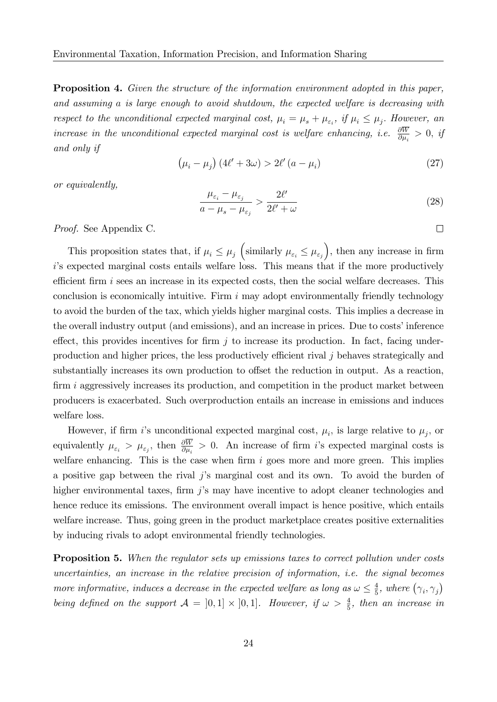**Proposition 4.** Given the structure of the information environment adopted in this paper, and assuming a is large enough to avoid shutdown, the expected welfare is decreasing with respect to the unconditional expected marginal cost,  $\mu_i = \mu_s + \mu_{\varepsilon_i}$ , if  $\mu_i \leq \mu_j$ . However, an increase in the unconditional expected marginal cost is welfare enhancing, i.e.  $\frac{\partial W}{\partial \mu_i} > 0$ , if and only if

$$
\left(\mu_i - \mu_j\right) \left(4\ell' + 3\omega\right) > 2\ell' \left(a - \mu_i\right) \tag{27}
$$

or equivalently,

$$
\frac{\mu_{\varepsilon_i} - \mu_{\varepsilon_j}}{a - \mu_s - \mu_{\varepsilon_j}} > \frac{2\ell'}{2\ell' + \omega}
$$
\n(28)

 $\Box$ 

Proof. See Appendix C.

This proposition states that, if  $\mu_i \leq \mu_j$  (similarly  $\mu_{\varepsilon_i} \leq \mu_{\varepsilon_j}$ ), then any increase in firm i's expected marginal costs entails welfare loss. This means that if the more productively efficient firm  $i$  sees an increase in its expected costs, then the social welfare decreases. This conclusion is economically intuitive. Firm  $i$  may adopt environmentally friendly technology to avoid the burden of the tax, which yields higher marginal costs. This implies a decrease in the overall industry output (and emissions), and an increase in prices. Due to costs' inference effect, this provides incentives for firm  $j$  to increase its production. In fact, facing underproduction and higher prices, the less productively efficient rival  $j$  behaves strategically and substantially increases its own production to offset the reduction in output. As a reaction, firm  $i$  aggressively increases its production, and competition in the product market between producers is exacerbated. Such overproduction entails an increase in emissions and induces welfare loss.

However, if firm i's unconditional expected marginal cost,  $\mu_i$ , is large relative to  $\mu_j$ , or equivalently  $\mu_{\varepsilon_i} > \mu_{\varepsilon_j}$ , then  $\frac{\partial W}{\partial \mu_i} > 0$ . An increase of firm *i*'s expected marginal costs is welfare enhancing. This is the case when firm  $i$  goes more and more green. This implies a positive gap between the rival  $j$ 's marginal cost and its own. To avoid the burden of higher environmental taxes, firm  $i$ 's may have incentive to adopt cleaner technologies and hence reduce its emissions. The environment overall impact is hence positive, which entails welfare increase. Thus, going green in the product marketplace creates positive externalities by inducing rivals to adopt environmental friendly technologies.

Proposition 5. When the regulator sets up emissions taxes to correct pollution under costs uncertainties, an increase in the relative precision of information, i.e. the signal becomes more informative, induces a decrease in the expected welfare as long as  $\omega \leq \frac{4}{5}$  $\frac{4}{5}$ , where  $(\gamma_i, \gamma_j)$ being defined on the support  $A = [0,1] \times [0,1]$ . However, if  $\omega > \frac{4}{5}$ , then an increase in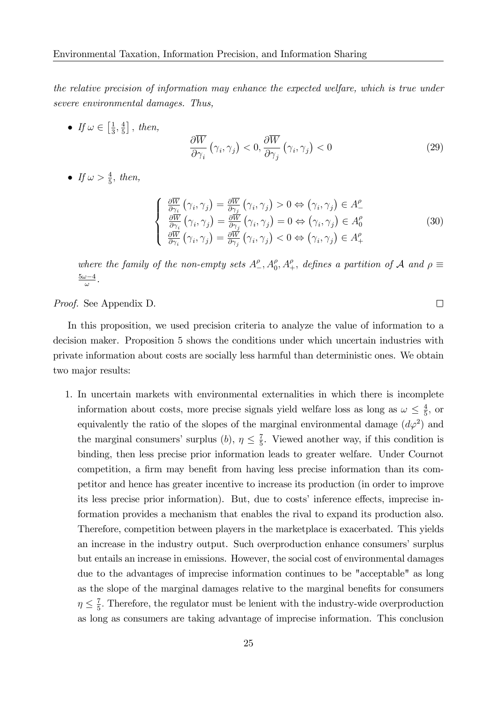the relative precision of information may enhance the expected welfare, which is true under severe environmental damages. Thus,

• If  $\omega \in \left[\frac{1}{3}\right]$  $\frac{1}{3}, \frac{4}{5}$  $\frac{4}{5}$ , then,

$$
\frac{\partial \overline{W}}{\partial \gamma_i} \left( \gamma_i, \gamma_j \right) < 0, \frac{\partial \overline{W}}{\partial \gamma_j} \left( \gamma_i, \gamma_j \right) < 0 \tag{29}
$$

• If  $\omega > \frac{4}{5}$ , then,

$$
\begin{cases}\n\frac{\partial \overline{W}}{\partial \gamma_i} \left( \gamma_i, \gamma_j \right) = \frac{\partial \overline{W}}{\partial \gamma_j} \left( \gamma_i, \gamma_j \right) > 0 \Leftrightarrow \left( \gamma_i, \gamma_j \right) \in A^{\rho} \\
\frac{\partial \overline{W}}{\partial \gamma_i} \left( \gamma_i, \gamma_j \right) = \frac{\partial \overline{W}}{\partial \gamma_j} \left( \gamma_i, \gamma_j \right) = 0 \Leftrightarrow \left( \gamma_i, \gamma_j \right) \in A^{\rho}_0 \\
\frac{\partial \overline{W}}{\partial \gamma_i} \left( \gamma_i, \gamma_j \right) = \frac{\partial \overline{W}}{\partial \gamma_j} \left( \gamma_i, \gamma_j \right) < 0 \Leftrightarrow \left( \gamma_i, \gamma_j \right) \in A^{\rho}_+\n\end{cases}\n\tag{30}
$$

where the family of the non-empty sets  $A^{\rho}_{-}, A^{\rho}_{0}, A^{\rho}_{+},$  defines a partition of  $A$  and  $\rho \equiv$  $\frac{5\omega-4}{\omega}$ .

Proof. See Appendix D.

In this proposition, we used precision criteria to analyze the value of information to a decision maker. Proposition 5 shows the conditions under which uncertain industries with private information about costs are socially less harmful than deterministic ones. We obtain two major results:

1. In uncertain markets with environmental externalities in which there is incomplete information about costs, more precise signals yield welfare loss as long as  $\omega \leq \frac{4}{5}$  $\frac{4}{5}$ , or equivalently the ratio of the slopes of the marginal environmental damage  $(d\varphi^2)$  and the marginal consumers' surplus (b),  $\eta \leq \frac{7}{5}$  $\frac{7}{5}$ . Viewed another way, if this condition is binding, then less precise prior information leads to greater welfare. Under Cournot competition, a firm may benefit from having less precise information than its competitor and hence has greater incentive to increase its production (in order to improve its less precise prior information). But, due to costs' inference effects, imprecise information provides a mechanism that enables the rival to expand its production also. Therefore, competition between players in the marketplace is exacerbated. This yields an increase in the industry output. Such overproduction enhance consumers' surplus but entails an increase in emissions. However, the social cost of environmental damages due to the advantages of imprecise information continues to be "acceptable" as long as the slope of the marginal damages relative to the marginal benefits for consumers  $\eta \leq \frac{7}{5}$  $\frac{7}{5}$ . Therefore, the regulator must be lenient with the industry-wide overproduction as long as consumers are taking advantage of imprecise information. This conclusion

 $\Box$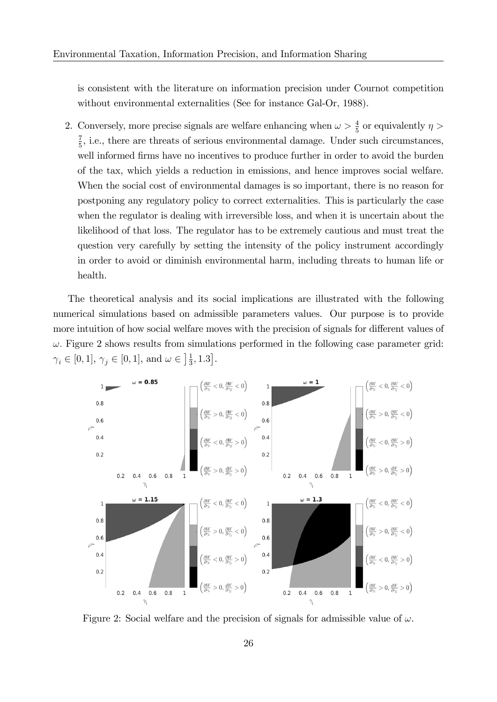is consistent with the literature on information precision under Cournot competition without environmental externalities (See for instance Gal-Or, 1988).

2. Conversely, more precise signals are welfare enhancing when  $\omega > \frac{4}{5}$  or equivalently  $\eta >$ 7  $\frac{7}{5}$ , i.e., there are threats of serious environmental damage. Under such circumstances, well informed firms have no incentives to produce further in order to avoid the burden of the tax, which yields a reduction in emissions, and hence improves social welfare. When the social cost of environmental damages is so important, there is no reason for postponing any regulatory policy to correct externalities. This is particularly the case when the regulator is dealing with irreversible loss, and when it is uncertain about the likelihood of that loss. The regulator has to be extremely cautious and must treat the question very carefully by setting the intensity of the policy instrument accordingly in order to avoid or diminish environmental harm, including threats to human life or health.

The theoretical analysis and its social implications are illustrated with the following numerical simulations based on admissible parameters values. Our purpose is to provide more intuition of how social welfare moves with the precision of signals for different values of  $\omega$ . Figure 2 shows results from simulations performed in the following case parameter grid:  $\gamma_i \in [0, 1], \gamma_j \in [0, 1],$  and  $\omega \in \left] \frac{1}{3} \right]$  $\frac{1}{3}, 1.3$ .



Figure 2: Social welfare and the precision of signals for admissible value of  $\omega$ .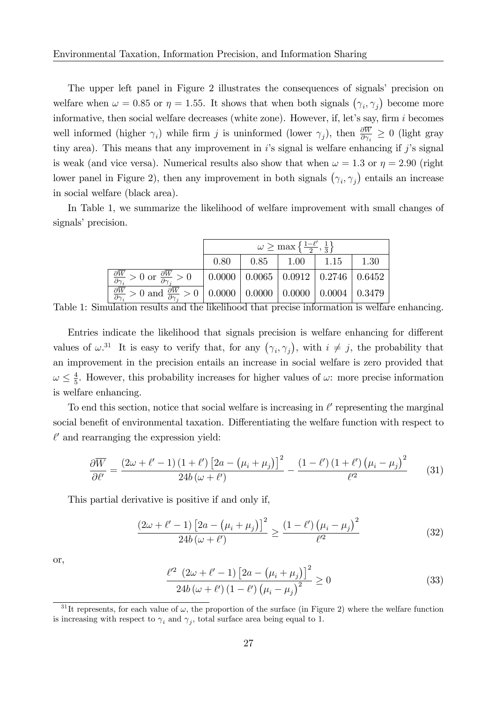The upper left panel in Figure 2 illustrates the consequences of signals' precision on welfare when  $\omega = 0.85$  or  $\eta = 1.55$ . It shows that when both signals  $(\gamma_i, \gamma_j)$  become more informative, then social welfare decreases (white zone). However, if, let's say, firm  $i$  becomes well informed (higher  $\gamma_i$ ) while firm j is uninformed (lower  $\gamma_j$ ), then  $\frac{\partial W}{\partial \gamma_i} \geq 0$  (light gray tiny area). This means that any improvement in is signal is welfare enhancing if j's signal is weak (and vice versa). Numerical results also show that when  $\omega = 1.3$  or  $\eta = 2.90$  (right lower panel in Figure 2), then any improvement in both signals  $(\gamma_i, \gamma_j)$  entails an increase in social welfare (black area).

In Table 1, we summarize the likelihood of welfare improvement with small changes of signals' precision.

|                                                                                                                                                             | $\omega \geq \max\left\{\frac{1-\ell'}{2},\frac{1}{3}\right\}$ |      |              |      |      |
|-------------------------------------------------------------------------------------------------------------------------------------------------------------|----------------------------------------------------------------|------|--------------|------|------|
|                                                                                                                                                             | 0.80                                                           | 0.85 | $\vert$ 1.00 | 1.15 | 1.30 |
| $\frac{\partial \overline{W}}{\partial \gamma_i} > 0$ or $\frac{\partial \overline{W}}{\partial \gamma_i} > 0$   0.0000   0.0065   0.0912   0.2746   0.6452 |                                                                |      |              |      |      |
| $\frac{\partial \overline{W}}{\partial \gamma_i} > 0$ and $\frac{\partial \overline{W}}{\partial \gamma_i} > 0$ 0.0000 0.0000 0.0000 0.0004 0.3479          |                                                                |      |              |      |      |

Table 1: Simulation results and the likelihood that precise information is welfare enhancing.

Entries indicate the likelihood that signals precision is welfare enhancing for different values of  $\omega^{31}$ . It is easy to verify that, for any  $(\gamma_i, \gamma_j)$ , with  $i \neq j$ , the probability that an improvement in the precision entails an increase in social welfare is zero provided that  $\omega \leq \frac{4}{5}$  $\frac{4}{5}$ . However, this probability increases for higher values of  $\omega$ : more precise information is welfare enhancing.

To end this section, notice that social welfare is increasing in  $\ell'$  representing the marginal social benefit of environmental taxation. Differentiating the welfare function with respect to  $\ell'$  and rearranging the expression yield:

$$
\frac{\partial \overline{W}}{\partial \ell'} = \frac{\left(2\omega + \ell' - 1\right)\left(1 + \ell'\right)\left[2a - \left(\mu_i + \mu_j\right)\right]^2}{24b\left(\omega + \ell'\right)} - \frac{\left(1 - \ell'\right)\left(1 + \ell'\right)\left(\mu_i - \mu_j\right)^2}{\ell'^2} \tag{31}
$$

This partial derivative is positive if and only if,

$$
\frac{\left(2\omega+\ell'-1\right)\left[2a-\left(\mu_i+\mu_j\right)\right]^2}{24b\left(\omega+\ell'\right)} \ge \frac{\left(1-\ell'\right)\left(\mu_i-\mu_j\right)^2}{\ell'^2} \tag{32}
$$

or,

$$
\frac{\ell'^2 (2\omega + \ell' - 1) [2a - (\mu_i + \mu_j)]^2}{24b (\omega + \ell') (1 - \ell') (\mu_i - \mu_j)^2} \ge 0
$$
\n(33)

<sup>&</sup>lt;sup>31</sup>It represents, for each value of  $\omega$ , the proportion of the surface (in Figure 2) where the welfare function is increasing with respect to  $\gamma_i$  and  $\gamma_j$ , total surface area being equal to 1.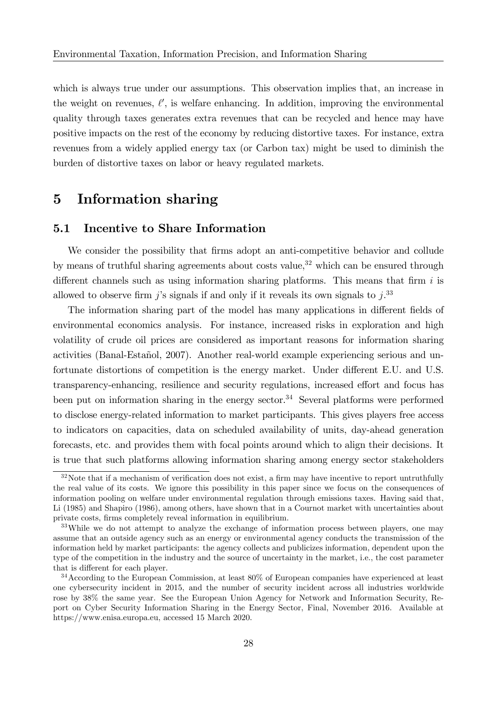which is always true under our assumptions. This observation implies that, an increase in the weight on revenues,  $\ell'$ , is welfare enhancing. In addition, improving the environmental quality through taxes generates extra revenues that can be recycled and hence may have positive impacts on the rest of the economy by reducing distortive taxes. For instance, extra revenues from a widely applied energy tax (or Carbon tax) might be used to diminish the burden of distortive taxes on labor or heavy regulated markets.

### 5 Information sharing

#### 5.1 Incentive to Share Information

We consider the possibility that firms adopt an anti-competitive behavior and collude by means of truthful sharing agreements about costs value,  $32$  which can be ensured through different channels such as using information sharing platforms. This means that firm  $i$  is allowed to observe firm j's signals if and only if it reveals its own signals to  $j$ .<sup>33</sup>

The information sharing part of the model has many applications in different fields of environmental economics analysis. For instance, increased risks in exploration and high volatility of crude oil prices are considered as important reasons for information sharing activities (Banal-Estañol, 2007). Another real-world example experiencing serious and unfortunate distortions of competition is the energy market. Under different E.U. and U.S. transparency-enhancing, resilience and security regulations, increased effort and focus has been put on information sharing in the energy sector.<sup>34</sup> Several platforms were performed to disclose energy-related information to market participants. This gives players free access to indicators on capacities, data on scheduled availability of units, day-ahead generation forecasts, etc. and provides them with focal points around which to align their decisions. It is true that such platforms allowing information sharing among energy sector stakeholders

 $32\text{Note that if a mechanism of verification does not exist, a firm may have incentive to report untruthfully.}$ the real value of its costs. We ignore this possibility in this paper since we focus on the consequences of information pooling on welfare under environmental regulation through emissions taxes. Having said that, Li (1985) and Shapiro (1986), among others, have shown that in a Cournot market with uncertainties about private costs, Örms completely reveal information in equilibrium.

<sup>&</sup>lt;sup>33</sup>While we do not attempt to analyze the exchange of information process between players, one may assume that an outside agency such as an energy or environmental agency conducts the transmission of the information held by market participants: the agency collects and publicizes information, dependent upon the type of the competition in the industry and the source of uncertainty in the market, i.e., the cost parameter that is different for each player.

 $34$ According to the European Commission, at least  $80\%$  of European companies have experienced at least one cybersecurity incident in 2015, and the number of security incident across all industries worldwide rose by 38% the same year. See the European Union Agency for Network and Information Security, Report on Cyber Security Information Sharing in the Energy Sector, Final, November 2016. Available at https://www.enisa.europa.eu, accessed 15 March 2020.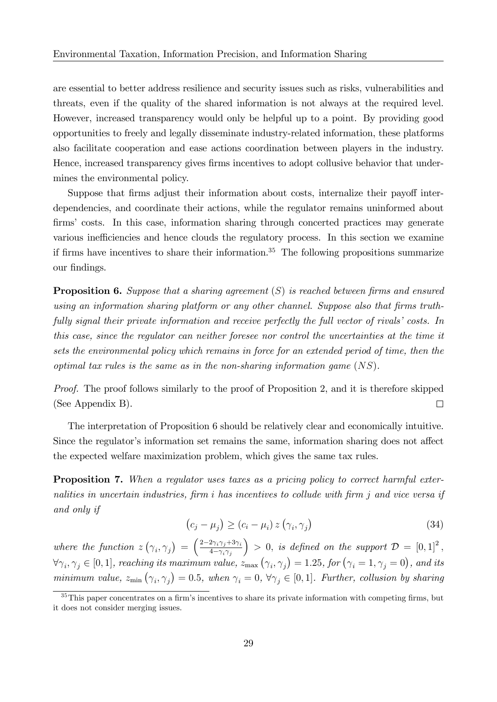are essential to better address resilience and security issues such as risks, vulnerabilities and threats, even if the quality of the shared information is not always at the required level. However, increased transparency would only be helpful up to a point. By providing good opportunities to freely and legally disseminate industry-related information, these platforms also facilitate cooperation and ease actions coordination between players in the industry. Hence, increased transparency gives firms incentives to adopt collusive behavior that undermines the environmental policy.

Suppose that firms adjust their information about costs, internalize their payoff interdependencies, and coordinate their actions, while the regulator remains uninformed about firms' costs. In this case, information sharing through concerted practices may generate various inefficiencies and hence clouds the regulatory process. In this section we examine if firms have incentives to share their information.<sup>35</sup> The following propositions summarize our findings.

**Proposition 6.** Suppose that a sharing agreement  $(S)$  is reached between firms and ensured using an information sharing platform or any other channel. Suppose also that firms truthfully signal their private information and receive perfectly the full vector of rivals' costs. In this case, since the regulator can neither foresee nor control the uncertainties at the time it sets the environmental policy which remains in force for an extended period of time, then the optimal tax rules is the same as in the non-sharing information game  $(NS)$ .

Proof. The proof follows similarly to the proof of Proposition 2, and it is therefore skipped (See Appendix B).  $\Box$ 

The interpretation of Proposition 6 should be relatively clear and economically intuitive. Since the regulator's information set remains the same, information sharing does not affect the expected welfare maximization problem, which gives the same tax rules.

Proposition 7. When a regulator uses taxes as a pricing policy to correct harmful externalities in uncertain industries, firm i has incentives to collude with firm j and vice versa if and only if

$$
(c_j - \mu_j) \ge (c_i - \mu_i) z (\gamma_i, \gamma_j)
$$
\n(34)

where the function  $z(\gamma_i, \gamma_j) = \left(\frac{2-2\gamma_i\gamma_j+3\gamma_i}{4-\gamma_i\gamma_j}\right)$  $4-\gamma_i\gamma_j$  $\Big) > 0$ , is defined on the support  $\mathcal{D} = [0,1]^2$ ,  $\forall \gamma_i, \gamma_j \in [0,1]$ , reaching its maximum value,  $z_{\text{max}}(\gamma_i, \gamma_j) = 1.25$ , for  $(\gamma_i = 1, \gamma_j = 0)$ , and its minimum value,  $z_{\min}(\gamma_i, \gamma_j) = 0.5$ , when  $\gamma_i = 0$ ,  $\forall \gamma_j \in [0, 1]$ . Further, collusion by sharing

 $35$ This paper concentrates on a firm's incentives to share its private information with competing firms, but it does not consider merging issues.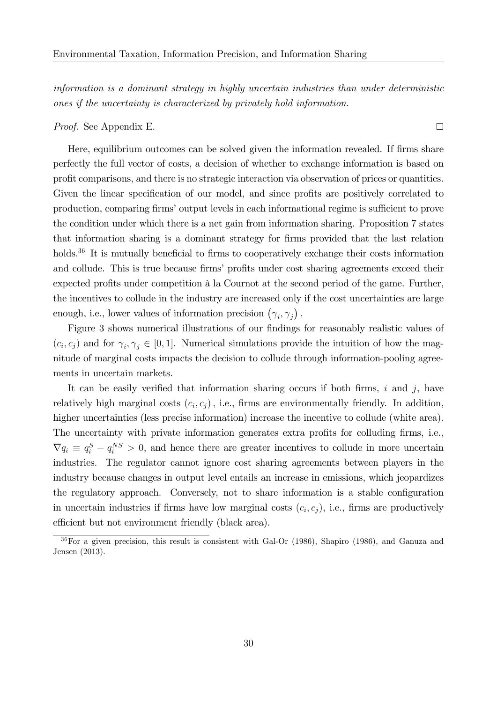information is a dominant strategy in highly uncertain industries than under deterministic ones if the uncertainty is characterized by privately hold information.

#### Proof. See Appendix E.

Here, equilibrium outcomes can be solved given the information revealed. If firms share perfectly the full vector of costs, a decision of whether to exchange information is based on profit comparisons, and there is no strategic interaction via observation of prices or quantities. Given the linear specification of our model, and since profits are positively correlated to production, comparing firms' output levels in each informational regime is sufficient to prove the condition under which there is a net gain from information sharing. Proposition 7 states that information sharing is a dominant strategy for firms provided that the last relation holds. $36$  It is mutually beneficial to firms to cooperatively exchange their costs information and collude. This is true because firms' profits under cost sharing agreements exceed their expected profits under competition à la Cournot at the second period of the game. Further, the incentives to collude in the industry are increased only if the cost uncertainties are large enough, i.e., lower values of information precision  $(\gamma_i, \gamma_j)$ .

Figure 3 shows numerical illustrations of our findings for reasonably realistic values of  $(c_i, c_j)$  and for  $\gamma_i, \gamma_j \in [0, 1]$ . Numerical simulations provide the intuition of how the magnitude of marginal costs impacts the decision to collude through information-pooling agreements in uncertain markets.

It can be easily verified that information sharing occurs if both firms, i and j, have relatively high marginal costs  $(c_i, c_j)$ , i.e., firms are environmentally friendly. In addition, higher uncertainties (less precise information) increase the incentive to collude (white area). The uncertainty with private information generates extra profits for colluding firms, i.e.,  $\nabla q_i \equiv q_i^S - q_i^{NS} > 0$ , and hence there are greater incentives to collude in more uncertain industries. The regulator cannot ignore cost sharing agreements between players in the industry because changes in output level entails an increase in emissions, which jeopardizes the regulatory approach. Conversely, not to share information is a stable configuration in uncertain industries if firms have low marginal costs  $(c_i, c_j)$ , i.e., firms are productively efficient but not environment friendly (black area).

 $\Box$ 

<sup>36</sup>For a given precision, this result is consistent with Gal-Or (1986), Shapiro (1986), and Ganuza and Jensen (2013).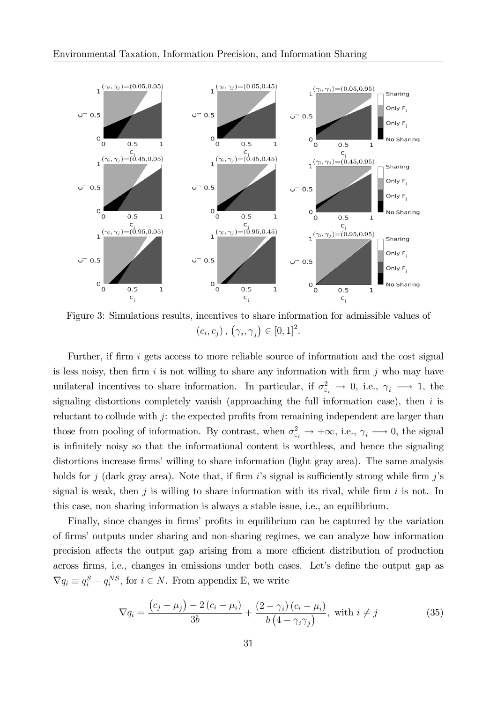

Figure 3: Simulations results, incentives to share information for admissible values of  $(c_i, c_j), (\gamma_i, \gamma_j) \in [0, 1]^2.$ 

Further, if firm  $i$  gets access to more reliable source of information and the cost signal is less noisy, then firm  $i$  is not willing to share any information with firm  $j$  who may have unilateral incentives to share information. In particular, if  $\sigma_{\varepsilon_i}^2 \to 0$ , i.e.,  $\gamma_i \to 1$ , the signaling distortions completely vanish (approaching the full information case), then  $i$  is reluctant to collude with  $j$ : the expected profits from remaining independent are larger than those from pooling of information. By contrast, when  $\sigma_{\varepsilon_i}^2 \to +\infty$ , i.e.,  $\gamma_i \to 0$ , the signal is infinitely noisy so that the informational content is worthless, and hence the signaling distortions increase firms' willing to share information (light gray area). The same analysis holds for j (dark gray area). Note that, if firm i's signal is sufficiently strong while firm j's signal is weak, then j is willing to share information with its rival, while firm i is not. In this case, non sharing information is always a stable issue, i.e., an equilibrium.

Finally, since changes in firms' profits in equilibrium can be captured by the variation of firms' outputs under sharing and non-sharing regimes, we can analyze how information precision affects the output gap arising from a more efficient distribution of production across firms, i.e., changes in emissions under both cases. Let's define the output gap as  $\nabla q_i \equiv q_i^S - q_i^{NS}$ , for  $i \in N$ . From appendix E, we write

$$
\nabla q_i = \frac{(c_j - \mu_j) - 2(c_i - \mu_i)}{3b} + \frac{(2 - \gamma_i)(c_i - \mu_i)}{b(4 - \gamma_i \gamma_j)}, \text{ with } i \neq j \tag{35}
$$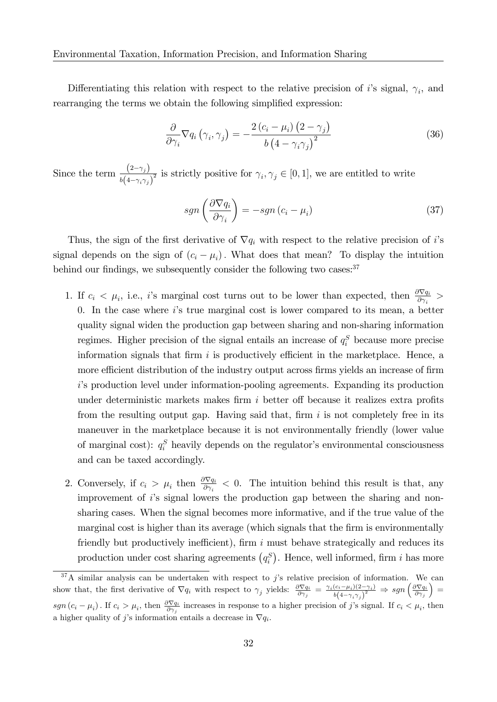Differentiating this relation with respect to the relative precision of i's signal,  $\gamma_i$ , and rearranging the terms we obtain the following simplified expression:

$$
\frac{\partial}{\partial \gamma_i} \nabla q_i \left( \gamma_i, \gamma_j \right) = -\frac{2 \left( c_i - \mu_i \right) \left( 2 - \gamma_j \right)}{b \left( 4 - \gamma_i \gamma_j \right)^2} \tag{36}
$$

Since the term  $\frac{(2-\gamma_i)}{f(x_i)}$  $\frac{(-\epsilon^{-1}i)^j}{b(4-\gamma_i\gamma_j)^2}$  is strictly positive for  $\gamma_i, \gamma_j \in [0,1]$ , we are entitled to write

$$
sgn\left(\frac{\partial \nabla q_i}{\partial \gamma_i}\right) = -sgn\left(c_i - \mu_i\right) \tag{37}
$$

Thus, the sign of the first derivative of  $\nabla q_i$  with respect to the relative precision of i's signal depends on the sign of  $(c_i - \mu_i)$ . What does that mean? To display the intuition behind our findings, we subsequently consider the following two cases:  $37$ 

- 1. If  $c_i < \mu_i$ , i.e., i's marginal cost turns out to be lower than expected, then  $\frac{\partial \nabla q_i}{\partial \gamma_i}$ 0. In the case where  $i$ 's true marginal cost is lower compared to its mean, a better quality signal widen the production gap between sharing and non-sharing information regimes. Higher precision of the signal entails an increase of  $q_i^S$  because more precise information signals that firm  $i$  is productively efficient in the marketplace. Hence, a more efficient distribution of the industry output across firms yields an increase of firm is production level under information-pooling agreements. Expanding its production under deterministic markets makes firm  $i$  better off because it realizes extra profits from the resulting output gap. Having said that, firm  $i$  is not completely free in its maneuver in the marketplace because it is not environmentally friendly (lower value of marginal cost):  $q_i^S$  heavily depends on the regulator's environmental consciousness and can be taxed accordingly.
- 2. Conversely, if  $c_i > \mu_i$  then  $\frac{\partial \nabla q_i}{\partial \gamma_i} < 0$ . The intuition behind this result is that, any improvement of  $i$ 's signal lowers the production gap between the sharing and nonsharing cases. When the signal becomes more informative, and if the true value of the marginal cost is higher than its average (which signals that the firm is environmentally friendly but productively inefficient), firm  $i$  must behave strategically and reduces its production under cost sharing agreements  $(q_i^S)$ . Hence, well informed, firm i has more

 $37A$  similar analysis can be undertaken with respect to j's relative precision of information. We can show that, the first derivative of  $\nabla q_i$  with respect to  $\gamma_j$  yields:  $\frac{\partial \nabla q_i}{\partial \gamma_j} = \frac{\gamma_i (c_i - \mu_i)(2 - \gamma_i)}{b(4 - \gamma_i \gamma_i)^2}$  $\frac{(c_i - \mu_i)(2 - \gamma_i)}{b(4 - \gamma_i \gamma_j)^2} \Rightarrow sgn\left(\frac{\partial \nabla q_i}{\partial \gamma_j}\right)$  $=$  $sgn(c_i - \mu_i)$ . If  $c_i > \mu_i$ , then  $\frac{\partial \nabla q_i}{\partial \gamma_j}$  increases in response to a higher precision of j's signal. If  $c_i < \mu_i$ , then a higher quality of j's information entails a decrease in  $\nabla q_i$ .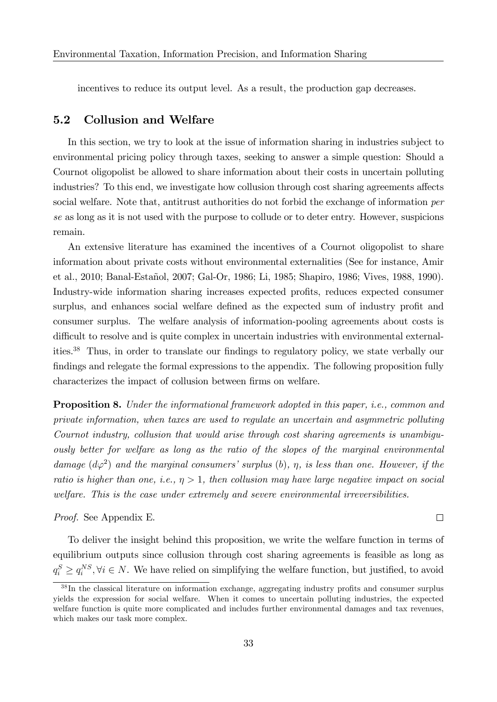incentives to reduce its output level. As a result, the production gap decreases.

#### 5.2 Collusion and Welfare

In this section, we try to look at the issue of information sharing in industries subject to environmental pricing policy through taxes, seeking to answer a simple question: Should a Cournot oligopolist be allowed to share information about their costs in uncertain polluting industries? To this end, we investigate how collusion through cost sharing agreements affects social welfare. Note that, antitrust authorities do not forbid the exchange of information *per* se as long as it is not used with the purpose to collude or to deter entry. However, suspicions remain.

An extensive literature has examined the incentives of a Cournot oligopolist to share information about private costs without environmental externalities (See for instance, Amir et al., 2010; Banal-Estañol, 2007; Gal-Or, 1986; Li, 1985; Shapiro, 1986; Vives, 1988, 1990). Industry-wide information sharing increases expected profits, reduces expected consumer surplus, and enhances social welfare defined as the expected sum of industry profit and consumer surplus. The welfare analysis of information-pooling agreements about costs is difficult to resolve and is quite complex in uncertain industries with environmental externalities.<sup>38</sup> Thus, in order to translate our findings to regulatory policy, we state verbally our findings and relegate the formal expressions to the appendix. The following proposition fully characterizes the impact of collusion between firms on welfare.

**Proposition 8.** Under the informational framework adopted in this paper, *i.e.*, common and private information, when taxes are used to regulate an uncertain and asymmetric polluting Cournot industry, collusion that would arise through cost sharing agreements is unambiguously better for welfare as long as the ratio of the slopes of the marginal environmental damage  $(d\varphi^2)$  and the marginal consumers' surplus (b),  $\eta$ , is less than one. However, if the ratio is higher than one, i.e.,  $\eta > 1$ , then collusion may have large negative impact on social welfare. This is the case under extremely and severe environmental irreversibilities.

Proof. See Appendix E.

To deliver the insight behind this proposition, we write the welfare function in terms of equilibrium outputs since collusion through cost sharing agreements is feasible as long as  $q_i^S \ge q_i^{NS}, \forall i \in N$ . We have relied on simplifying the welfare function, but justified, to avoid

 $\Box$ 

 $38$  In the classical literature on information exchange, aggregating industry profits and consumer surplus yields the expression for social welfare. When it comes to uncertain polluting industries, the expected welfare function is quite more complicated and includes further environmental damages and tax revenues, which makes our task more complex.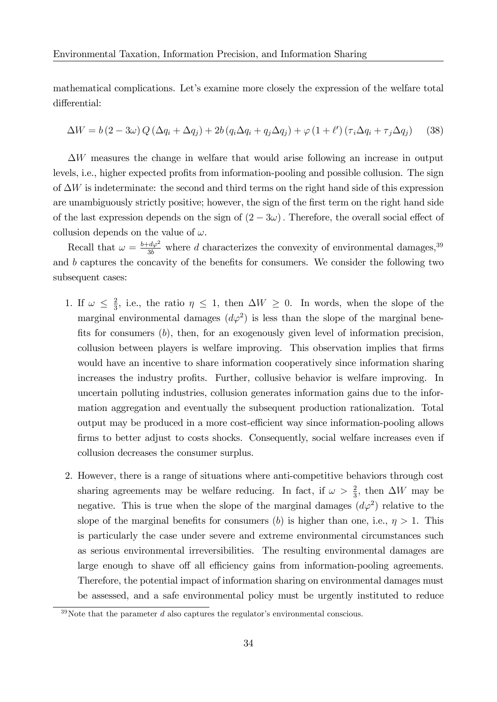mathematical complications. Let's examine more closely the expression of the welfare total differential:

$$
\Delta W = b(2 - 3\omega) Q (\Delta q_i + \Delta q_j) + 2b (q_i \Delta q_i + q_j \Delta q_j) + \varphi (1 + \ell') (\tau_i \Delta q_i + \tau_j \Delta q_j)
$$
 (38)

 $\Delta W$  measures the change in welfare that would arise following an increase in output levels, i.e., higher expected profits from information-pooling and possible collusion. The sign of  $\Delta W$  is indeterminate: the second and third terms on the right hand side of this expression are unambiguously strictly positive; however, the sign of the first term on the right hand side of the last expression depends on the sign of  $(2 - 3\omega)$ . Therefore, the overall social effect of collusion depends on the value of  $\omega$ .

Recall that  $\omega = \frac{b+d\varphi^2}{3b}$  where d characterizes the convexity of environmental damages,<sup>39</sup> and  $b$  captures the concavity of the benefits for consumers. We consider the following two subsequent cases:

- 1. If  $\omega \leq \frac{2}{3}$  $\frac{2}{3}$ , i.e., the ratio  $\eta \leq 1$ , then  $\Delta W \geq 0$ . In words, when the slope of the marginal environmental damages  $(d\varphi^2)$  is less than the slope of the marginal benefits for consumers  $(b)$ , then, for an exogenously given level of information precision, collusion between players is welfare improving. This observation implies that firms would have an incentive to share information cooperatively since information sharing increases the industry profits. Further, collusive behavior is welfare improving. In uncertain polluting industries, collusion generates information gains due to the information aggregation and eventually the subsequent production rationalization. Total output may be produced in a more cost-efficient way since information-pooling allows firms to better adjust to costs shocks. Consequently, social welfare increases even if collusion decreases the consumer surplus.
- 2. However, there is a range of situations where anti-competitive behaviors through cost sharing agreements may be welfare reducing. In fact, if  $\omega > \frac{2}{3}$ , then  $\Delta W$  may be negative. This is true when the slope of the marginal damages  $(d\varphi^2)$  relative to the slope of the marginal benefits for consumers (b) is higher than one, i.e.,  $\eta > 1$ . This is particularly the case under severe and extreme environmental circumstances such as serious environmental irreversibilities. The resulting environmental damages are large enough to shave off all efficiency gains from information-pooling agreements. Therefore, the potential impact of information sharing on environmental damages must be assessed, and a safe environmental policy must be urgently instituted to reduce

 $39$ Note that the parameter d also captures the regulator's environmental conscious.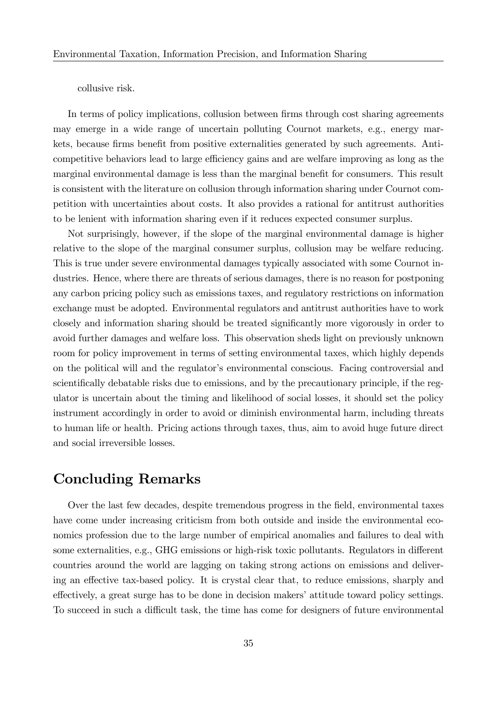collusive risk.

In terms of policy implications, collusion between firms through cost sharing agreements may emerge in a wide range of uncertain polluting Cournot markets, e.g., energy markets, because firms benefit from positive externalities generated by such agreements. Anticompetitive behaviors lead to large efficiency gains and are welfare improving as long as the marginal environmental damage is less than the marginal benefit for consumers. This result is consistent with the literature on collusion through information sharing under Cournot competition with uncertainties about costs. It also provides a rational for antitrust authorities to be lenient with information sharing even if it reduces expected consumer surplus.

Not surprisingly, however, if the slope of the marginal environmental damage is higher relative to the slope of the marginal consumer surplus, collusion may be welfare reducing. This is true under severe environmental damages typically associated with some Cournot industries. Hence, where there are threats of serious damages, there is no reason for postponing any carbon pricing policy such as emissions taxes, and regulatory restrictions on information exchange must be adopted. Environmental regulators and antitrust authorities have to work closely and information sharing should be treated significantly more vigorously in order to avoid further damages and welfare loss. This observation sheds light on previously unknown room for policy improvement in terms of setting environmental taxes, which highly depends on the political will and the regulator's environmental conscious. Facing controversial and scientifically debatable risks due to emissions, and by the precautionary principle, if the regulator is uncertain about the timing and likelihood of social losses, it should set the policy instrument accordingly in order to avoid or diminish environmental harm, including threats to human life or health. Pricing actions through taxes, thus, aim to avoid huge future direct and social irreversible losses.

#### Concluding Remarks

Over the last few decades, despite tremendous progress in the field, environmental taxes have come under increasing criticism from both outside and inside the environmental economics profession due to the large number of empirical anomalies and failures to deal with some externalities, e.g., GHG emissions or high-risk toxic pollutants. Regulators in different countries around the world are lagging on taking strong actions on emissions and delivering an effective tax-based policy. It is crystal clear that, to reduce emissions, sharply and effectively, a great surge has to be done in decision makers' attitude toward policy settings. To succeed in such a difficult task, the time has come for designers of future environmental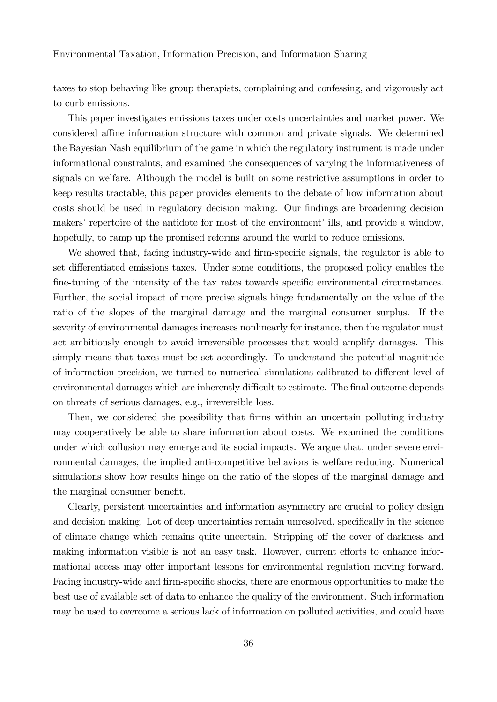taxes to stop behaving like group therapists, complaining and confessing, and vigorously act to curb emissions.

This paper investigates emissions taxes under costs uncertainties and market power. We considered affine information structure with common and private signals. We determined the Bayesian Nash equilibrium of the game in which the regulatory instrument is made under informational constraints, and examined the consequences of varying the informativeness of signals on welfare. Although the model is built on some restrictive assumptions in order to keep results tractable, this paper provides elements to the debate of how information about costs should be used in regulatory decision making. Our findings are broadening decision makers' repertoire of the antidote for most of the environment' ills, and provide a window, hopefully, to ramp up the promised reforms around the world to reduce emissions.

We showed that, facing industry-wide and firm-specific signals, the regulator is able to set differentiated emissions taxes. Under some conditions, the proposed policy enables the fine-tuning of the intensity of the tax rates towards specific environmental circumstances. Further, the social impact of more precise signals hinge fundamentally on the value of the ratio of the slopes of the marginal damage and the marginal consumer surplus. If the severity of environmental damages increases nonlinearly for instance, then the regulator must act ambitiously enough to avoid irreversible processes that would amplify damages. This simply means that taxes must be set accordingly. To understand the potential magnitude of information precision, we turned to numerical simulations calibrated to different level of environmental damages which are inherently difficult to estimate. The final outcome depends on threats of serious damages, e.g., irreversible loss.

Then, we considered the possibility that firms within an uncertain polluting industry may cooperatively be able to share information about costs. We examined the conditions under which collusion may emerge and its social impacts. We argue that, under severe environmental damages, the implied anti-competitive behaviors is welfare reducing. Numerical simulations show how results hinge on the ratio of the slopes of the marginal damage and the marginal consumer benefit.

Clearly, persistent uncertainties and information asymmetry are crucial to policy design and decision making. Lot of deep uncertainties remain unresolved, specifically in the science of climate change which remains quite uncertain. Stripping off the cover of darkness and making information visible is not an easy task. However, current efforts to enhance informational access may offer important lessons for environmental regulation moving forward. Facing industry-wide and firm-specific shocks, there are enormous opportunities to make the best use of available set of data to enhance the quality of the environment. Such information may be used to overcome a serious lack of information on polluted activities, and could have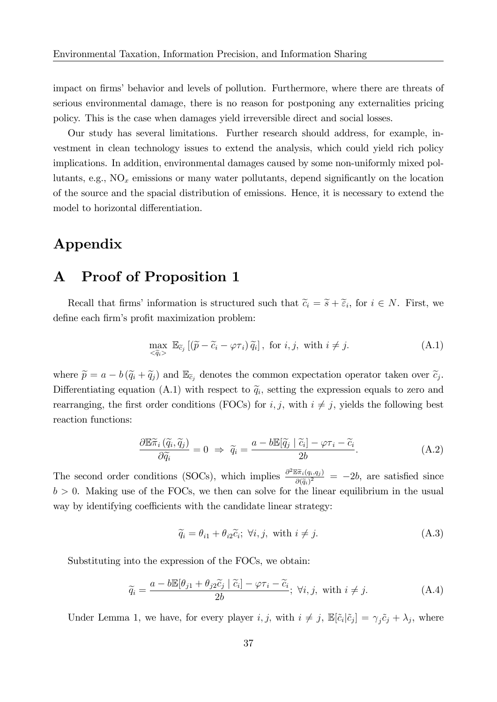impact on firms' behavior and levels of pollution. Furthermore, where there are threats of serious environmental damage, there is no reason for postponing any externalities pricing policy. This is the case when damages yield irreversible direct and social losses.

Our study has several limitations. Further research should address, for example, investment in clean technology issues to extend the analysis, which could yield rich policy implications. In addition, environmental damages caused by some non-uniformly mixed pollutants, e.g.,  $NO<sub>x</sub>$  emissions or many water pollutants, depend significantly on the location of the source and the spacial distribution of emissions. Hence, it is necessary to extend the model to horizontal differentiation.

### Appendix

## A Proof of Proposition 1

Recall that firms' information is structured such that  $\tilde{c}_i = \tilde{s} + \tilde{\epsilon}_i$ , for  $i \in N$ . First, we define each firm's profit maximization problem:

$$
\max_{\tilde{q}_i > \tilde{q}_i} \mathbb{E}_{\tilde{c}_j} \left[ \left( \tilde{p} - \tilde{c}_i - \varphi \tau_i \right) \tilde{q}_i \right], \text{ for } i, j, \text{ with } i \neq j. \tag{A.1}
$$

where  $\tilde{p} = a - b(\tilde{q}_i + \tilde{q}_j)$  and  $\mathbb{E}_{\tilde{c}_j}$  denotes the common expectation operator taken over  $\tilde{c}_j$ . Differentiating equation (A.1) with respect to  $\tilde{q}_i$ , setting the expression equals to zero and rearranging, the first order conditions (FOCs) for  $i, j$ , with  $i \neq j$ , yields the following best reaction functions:

$$
\frac{\partial \mathbb{E}\tilde{\pi}_i\left(\tilde{q}_i,\tilde{q}_j\right)}{\partial \tilde{q}_i} = 0 \Rightarrow \tilde{q}_i = \frac{a - b\mathbb{E}[\tilde{q}_j \mid \tilde{c}_i] - \varphi \tau_i - \tilde{c}_i}{2b}.
$$
\n(A.2)

The second order conditions (SOCs), which implies  $\frac{\partial^2 \mathbb{E} \tilde{\pi}_i(q_i,q_j)}{\partial (\tilde{\pi})^2}$  $\frac{\partial \pi_i(q_i, q_j)}{\partial (\widetilde{q}_i)^2} = -2b$ , are satisfied since  $b > 0$ . Making use of the FOCs, we then can solve for the linear equilibrium in the usual way by identifying coefficients with the candidate linear strategy:

$$
\widetilde{q}_i = \theta_{i1} + \theta_{i2}\widetilde{c}_i; \ \forall i, j, \ \text{with } i \neq j. \tag{A.3}
$$

Substituting into the expression of the FOCs, we obtain:

$$
\widetilde{q}_i = \frac{a - b\mathbb{E}[\theta_{j1} + \theta_{j2}\widetilde{c}_j \mid \widetilde{c}_i] - \varphi\tau_i - \widetilde{c}_i}{2b}; \ \forall i, j, \ \text{with} \ i \neq j. \tag{A.4}
$$

Under Lemma 1, we have, for every player  $i, j$ , with  $i \neq j$ ,  $\mathbb{E}[\tilde{c}_i|\tilde{c}_j] = \gamma_j \tilde{c}_j + \lambda_j$ , where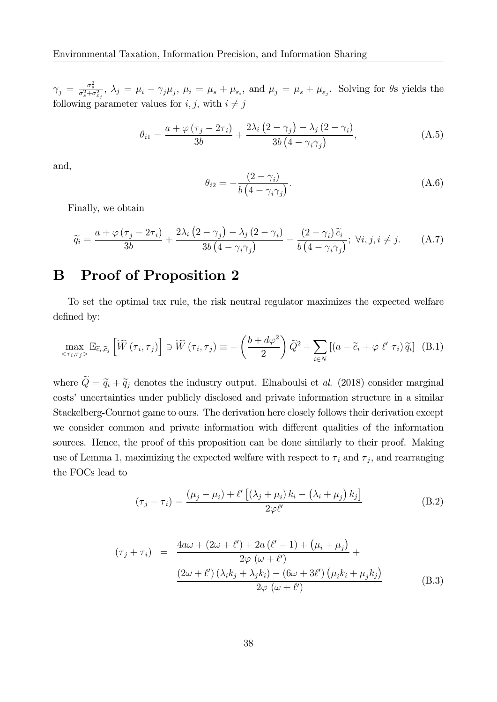$\gamma_j = \frac{\sigma_s^2}{\sigma_s^2 + \sigma_{\varepsilon_j}^2}$ ,  $\lambda_j = \mu_i - \gamma_j \mu_j$ ,  $\mu_i = \mu_s + \mu_{\varepsilon_i}$ , and  $\mu_j = \mu_s + \mu_{\varepsilon_j}$ . Solving for  $\theta$ s yields the following parameter values for  $i, j$ , with  $i \neq j$ 

$$
\theta_{i1} = \frac{a + \varphi(\tau_j - 2\tau_i)}{3b} + \frac{2\lambda_i (2 - \gamma_j) - \lambda_j (2 - \gamma_i)}{3b (4 - \gamma_i \gamma_j)},
$$
\n(A.5)

and,

$$
\theta_{i2} = -\frac{(2 - \gamma_i)}{b (4 - \gamma_i \gamma_j)}.
$$
\n(A.6)

Finally, we obtain

$$
\widetilde{q}_{i} = \frac{a + \varphi(\tau_{j} - 2\tau_{i})}{3b} + \frac{2\lambda_{i}\left(2 - \gamma_{j}\right) - \lambda_{j}\left(2 - \gamma_{i}\right)}{3b\left(4 - \gamma_{i}\gamma_{j}\right)} - \frac{\left(2 - \gamma_{i}\right)\widetilde{c}_{i}}{b\left(4 - \gamma_{i}\gamma_{j}\right)}; \ \forall i, j, i \neq j. \tag{A.7}
$$

## B Proof of Proposition 2

To set the optimal tax rule, the risk neutral regulator maximizes the expected welfare defined by:

$$
\max_{\langle \tau_i, \tau_j \rangle} \mathbb{E}_{\tilde{c}_i, \tilde{c}_j} \left[ \widetilde{W} \left( \tau_i, \tau_j \right) \right] \ni \widetilde{W} \left( \tau_i, \tau_j \right) \equiv -\left( \frac{b + d\varphi^2}{2} \right) \widetilde{Q}^2 + \sum_{i \in N} \left[ \left( a - \widetilde{c}_i + \varphi \ \ell' \ \tau_i \right) \widetilde{q}_i \right] \tag{B.1}
$$

where  $\tilde{Q} = \tilde{q}_i + \tilde{q}_j$  denotes the industry output. Elnaboulsi et al. (2018) consider marginal costs' uncertainties under publicly disclosed and private information structure in a similar Stackelberg-Cournot game to ours. The derivation here closely follows their derivation except we consider common and private information with different qualities of the information sources. Hence, the proof of this proposition can be done similarly to their proof. Making use of Lemma 1, maximizing the expected welfare with respect to  $\tau_i$  and  $\tau_j$ , and rearranging the FOCs lead to

$$
(\tau_j - \tau_i) = \frac{(\mu_j - \mu_i) + \ell' \left[ (\lambda_j + \mu_i) k_i - (\lambda_i + \mu_j) k_j \right]}{2\varphi \ell'}
$$
 (B.2)

$$
(\tau_j + \tau_i) = \frac{4a\omega + (2\omega + \ell') + 2a(\ell' - 1) + (\mu_i + \mu_j)}{2\varphi(\omega + \ell')} +
$$
  

$$
\frac{(2\omega + \ell')(\lambda_i k_j + \lambda_j k_i) - (6\omega + 3\ell')(\mu_i k_i + \mu_j k_j)}{2\varphi(\omega + \ell')} \tag{B.3}
$$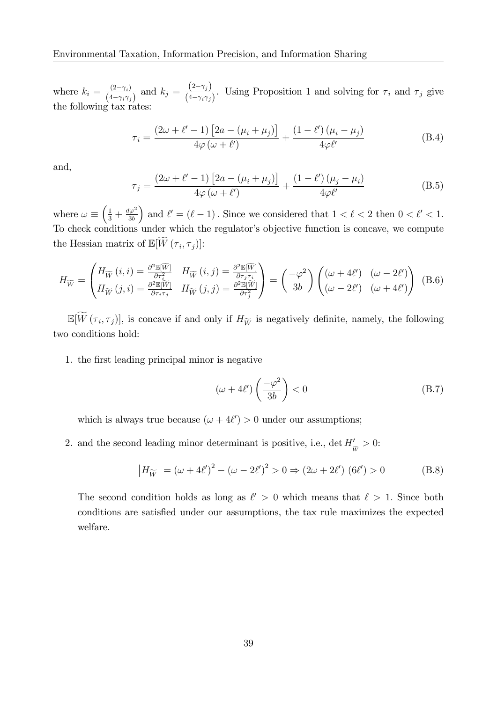where  $k_i = \frac{(2-\gamma_i)}{(4-\gamma_i)^2}$  $\frac{(2-\gamma_i)}{(4-\gamma_i\gamma_j)}$  and  $k_j = \frac{(2-\gamma_j)}{(4-\gamma_i\gamma_j)}$  $\frac{1}{(4-\gamma_i\gamma_j)}$ . Using Proposition 1 and solving for  $\tau_i$  and  $\tau_j$  give the following tax rates:

$$
\tau_i = \frac{(2\omega + \ell' - 1)\left[2a - (\mu_i + \mu_j)\right]}{4\varphi(\omega + \ell')} + \frac{(1 - \ell')(\mu_i - \mu_j)}{4\varphi\ell'}
$$
(B.4)

and,

$$
\tau_j = \frac{\left(2\omega + \ell' - 1\right)\left[2a - \left(\mu_i + \mu_j\right)\right]}{4\varphi\left(\omega + \ell'\right)} + \frac{\left(1 - \ell'\right)\left(\mu_j - \mu_i\right)}{4\varphi\ell'}\tag{B.5}
$$

where  $\omega \equiv \left(\frac{1}{3} + \frac{d\varphi^2}{3b}\right)$ 3b ) and  $\ell' = (\ell - 1)$ . Since we considered that  $1 < \ell < 2$  then  $0 < \ell' < 1$ . To check conditions under which the regulator's objective function is concave, we compute the Hessian matrix of  $\mathbb{E}[W(\tau_i, \tau_j)]$ :

$$
H_{\widetilde{W}} = \begin{pmatrix} H_{\widetilde{W}}(i,i) = \frac{\partial^2 \mathbb{E}[\widetilde{W}]}{\partial \tau_i^2} & H_{\widetilde{W}}(i,j) = \frac{\partial^2 \mathbb{E}[\widetilde{W}]}{\partial \tau_j \tau_i} \\ H_{\widetilde{W}}(j,i) = \frac{\partial^2 \mathbb{E}[\widetilde{W}]}{\partial \tau_i \tau_j} & H_{\widetilde{W}}(j,j) = \frac{\partial^2 \mathbb{E}[\widetilde{W}]}{\partial \tau_j^2} \end{pmatrix} = \left(\frac{-\varphi^2}{3b}\right) \begin{pmatrix} (\omega + 4\ell') & (\omega - 2\ell') \\ (\omega - 2\ell') & (\omega + 4\ell') \end{pmatrix} \tag{B.6}
$$

 $\mathbb{E}[W(\tau_i, \tau_j)],$  is concave if and only if  $H_{\widetilde{W}}$  is negatively definite, namely, the following two conditions hold:

1. the Örst leading principal minor is negative

$$
\left(\omega + 4\ell'\right) \left(\frac{-\varphi^2}{3b}\right) < 0\tag{B.7}
$$

which is always true because  $(\omega + 4\ell') > 0$  under our assumptions;

2. and the second leading minor determinant is positive, i.e.,  $\det H'_{\widetilde{W}} > 0$ :

$$
|H_{\widetilde{W}}| = (\omega + 4\ell')^2 - (\omega - 2\ell')^2 > 0 \Rightarrow (2\omega + 2\ell') \ (6\ell') > 0
$$
 (B.8)

The second condition holds as long as  $\ell' > 0$  which means that  $\ell > 1$ . Since both conditions are satisfied under our assumptions, the tax rule maximizes the expected welfare.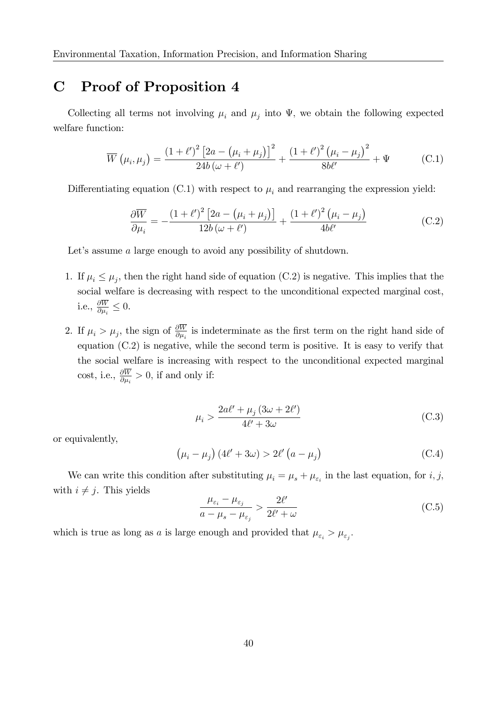## C Proof of Proposition 4

Collecting all terms not involving  $\mu_i$  and  $\mu_j$  into  $\Psi$ , we obtain the following expected welfare function:

$$
\overline{W}\left(\mu_i, \mu_j\right) = \frac{\left(1+\ell'\right)^2 \left[2a - \left(\mu_i + \mu_j\right)\right]^2}{24b\left(\omega + \ell'\right)} + \frac{\left(1+\ell'\right)^2 \left(\mu_i - \mu_j\right)^2}{8b\ell'} + \Psi \tag{C.1}
$$

Differentiating equation (C.1) with respect to  $\mu_i$  and rearranging the expression yield:

$$
\frac{\partial \overline{W}}{\partial \mu_i} = -\frac{(1+\ell')^2 \left[2a - \left(\mu_i + \mu_j\right)\right]}{12b\left(\omega + \ell'\right)} + \frac{(1+\ell')^2 \left(\mu_i - \mu_j\right)}{4b\ell'}\tag{C.2}
$$

Let's assume  $a$  large enough to avoid any possibility of shutdown.

- 1. If  $\mu_i \leq \mu_j$ , then the right hand side of equation (C.2) is negative. This implies that the social welfare is decreasing with respect to the unconditional expected marginal cost, i.e.,  $\frac{\partial W}{\partial \mu_i} \leq 0$ .
- 2. If  $\mu_i > \mu_j$ , the sign of  $\frac{\partial W}{\partial \mu_i}$  is indeterminate as the first term on the right hand side of equation (C:2) is negative, while the second term is positive. It is easy to verify that the social welfare is increasing with respect to the unconditional expected marginal cost, i.e.,  $\frac{\partial W}{\partial \mu_i} > 0$ , if and only if:

$$
\mu_i > \frac{2a\ell' + \mu_j (3\omega + 2\ell')}{4\ell' + 3\omega} \tag{C.3}
$$

or equivalently,

$$
\left(\mu_i - \mu_j\right) \left(4\ell' + 3\omega\right) > 2\ell' \left(a - \mu_j\right) \tag{C.4}
$$

We can write this condition after substituting  $\mu_i = \mu_s + \mu_{\varepsilon_i}$  in the last equation, for *i*, *j*, with  $i \neq j$ . This yields

$$
\frac{\mu_{\varepsilon_i} - \mu_{\varepsilon_j}}{a - \mu_s - \mu_{\varepsilon_j}} > \frac{2\ell'}{2\ell' + \omega}
$$
\n(C.5)

which is true as long as a is large enough and provided that  $\mu_{\varepsilon_i} > \mu_{\varepsilon_j}$ .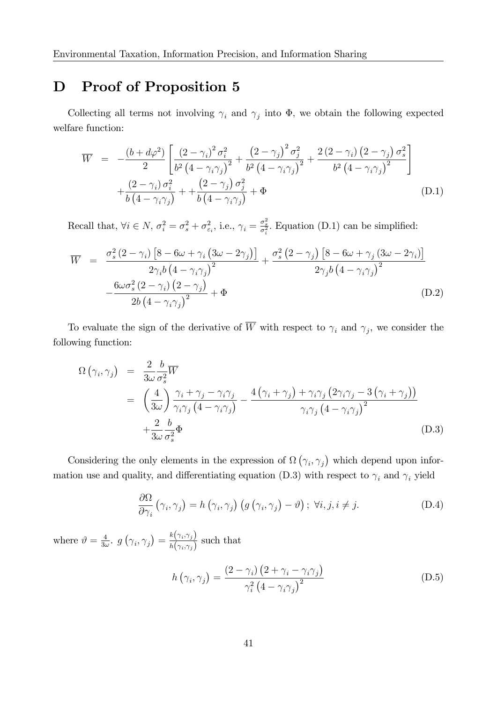## D Proof of Proposition 5

Collecting all terms not involving  $\gamma_i$  and  $\gamma_j$  into  $\Phi$ , we obtain the following expected welfare function:

$$
\overline{W} = -\frac{(b+d\varphi^2)}{2} \left[ \frac{\left(2-\gamma_i\right)^2 \sigma_i^2}{b^2 \left(4-\gamma_i\gamma_j\right)^2} + \frac{\left(2-\gamma_j\right)^2 \sigma_j^2}{b^2 \left(4-\gamma_i\gamma_j\right)^2} + \frac{2\left(2-\gamma_i\right)\left(2-\gamma_j\right) \sigma_s^2}{b^2 \left(4-\gamma_i\gamma_j\right)^2} + \frac{\left(2-\gamma_i\right) \sigma_i^2}{b \left(4-\gamma_i\gamma_j\right)} + + \frac{\left(2-\gamma_j\right) \sigma_j^2}{b \left(4-\gamma_i\gamma_j\right)} + \Phi \tag{D.1}
$$

Recall that,  $\forall i \in N$ ,  $\sigma_i^2 = \sigma_s^2 + \sigma_{\varepsilon_i}^2$ , i.e.,  $\gamma_i = \frac{\sigma_s^2}{\sigma_i^2}$ . Equation (D.1) can be simplified:

$$
\overline{W} = \frac{\sigma_s^2 (2 - \gamma_i) \left[ 8 - 6\omega + \gamma_i \left( 3\omega - 2\gamma_j \right) \right]}{2\gamma_i b \left( 4 - \gamma_i \gamma_j \right)^2} + \frac{\sigma_s^2 (2 - \gamma_j) \left[ 8 - 6\omega + \gamma_j \left( 3\omega - 2\gamma_i \right) \right]}{2\gamma_j b \left( 4 - \gamma_i \gamma_j \right)^2} - \frac{6\omega \sigma_s^2 (2 - \gamma_i) \left( 2 - \gamma_j \right)}{2b \left( 4 - \gamma_i \gamma_j \right)^2} + \Phi \tag{D.2}
$$

To evaluate the sign of the derivative of W with respect to  $\gamma_i$  and  $\gamma_j$ , we consider the following function:

$$
\Omega(\gamma_i, \gamma_j) = \frac{2}{3\omega} \frac{b}{\sigma_s^2} \overline{W}
$$
  
= 
$$
\left(\frac{4}{3\omega}\right) \frac{\gamma_i + \gamma_j - \gamma_i \gamma_j}{\gamma_i \gamma_j (4 - \gamma_i \gamma_j)} - \frac{4(\gamma_i + \gamma_j) + \gamma_i \gamma_j (2\gamma_i \gamma_j - 3(\gamma_i + \gamma_j))}{\gamma_i \gamma_j (4 - \gamma_i \gamma_j)^2}
$$
  
+ 
$$
\frac{2}{3\omega} \frac{b}{\sigma_s^2} \Phi
$$
 (D.3)

Considering the only elements in the expression of  $\Omega(\gamma_i, \gamma_j)$  which depend upon information use and quality, and differentiating equation (D.3) with respect to  $\gamma_i$  and  $\gamma_i$  yield

$$
\frac{\partial \Omega}{\partial \gamma_i} \left( \gamma_i, \gamma_j \right) = h \left( \gamma_i, \gamma_j \right) \left( g \left( \gamma_i, \gamma_j \right) - \vartheta \right); \ \forall i, j, i \neq j. \tag{D.4}
$$

where  $\vartheta = \frac{4}{3}$  $\frac{4}{3\omega}$ ,  $g\left(\gamma_i, \gamma_j\right) = \frac{k(\gamma_i, \gamma_j)}{h(\gamma_i, \gamma_j)}$  $\frac{\pi(\gamma_i, \gamma_j)}{h(\gamma_i, \gamma_j)}$  such that

$$
h(\gamma_i, \gamma_j) = \frac{(2 - \gamma_i) (2 + \gamma_i - \gamma_i \gamma_j)}{\gamma_i^2 (4 - \gamma_i \gamma_j)^2}
$$
(D.5)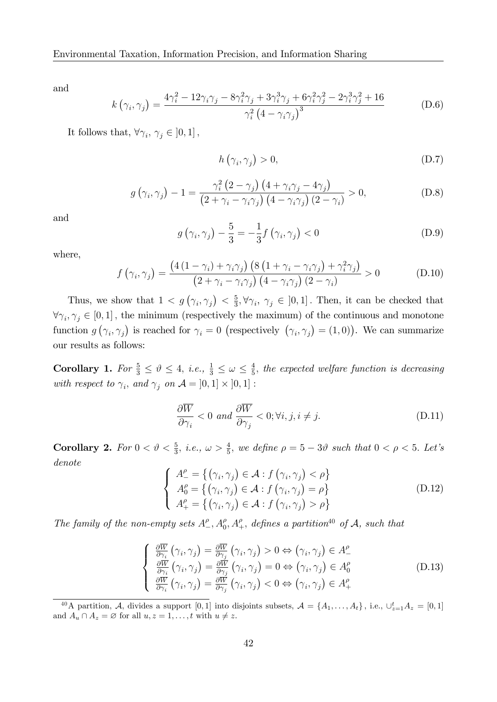and

$$
k(\gamma_i, \gamma_j) = \frac{4\gamma_i^2 - 12\gamma_i\gamma_j - 8\gamma_i^2\gamma_j + 3\gamma_i^3\gamma_j + 6\gamma_i^2\gamma_j^2 - 2\gamma_i^3\gamma_j^2 + 16}{\gamma_i^2 (4 - \gamma_i\gamma_j)^3}
$$
(D.6)

It follows that,  $\forall \gamma_i, \gamma_j \in ]0,1]$ ,

$$
h(\gamma_i, \gamma_j) > 0,\tag{D.7}
$$

$$
g\left(\gamma_i, \gamma_j\right) - 1 = \frac{\gamma_i^2 \left(2 - \gamma_j\right) \left(4 + \gamma_i \gamma_j - 4 \gamma_j\right)}{\left(2 + \gamma_i - \gamma_i \gamma_j\right) \left(4 - \gamma_i \gamma_j\right) \left(2 - \gamma_i\right)} > 0,
$$
\n(D.8)

and

$$
g\left(\gamma_i, \gamma_j\right) - \frac{5}{3} = -\frac{1}{3}f\left(\gamma_i, \gamma_j\right) < 0 \tag{D.9}
$$

where,

$$
f(\gamma_i, \gamma_j) = \frac{\left(4\left(1 - \gamma_i\right) + \gamma_i \gamma_j\right)\left(8\left(1 + \gamma_i - \gamma_i \gamma_j\right) + \gamma_i^2 \gamma_j\right)}{\left(2 + \gamma_i - \gamma_i \gamma_j\right)\left(4 - \gamma_i \gamma_j\right)\left(2 - \gamma_i\right)} > 0
$$
\n(D.10)

Thus, we show that  $1 < g(\gamma_i, \gamma_j) < \frac{5}{3}$  $\frac{5}{3}, \forall \gamma_i, \gamma_j \in [0,1]$ . Then, it can be checked that  $\forall \gamma_i, \gamma_j \in [0, 1]$ , the minimum (respectively the maximum) of the continuous and monotone function  $g(\gamma_i, \gamma_j)$  is reached for  $\gamma_i = 0$  (respectively  $(\gamma_i, \gamma_j) = (1, 0)$ ). We can summarize our results as follows:

Corollary 1. For  $\frac{5}{3} \leq \vartheta \leq 4$ , i.e.,  $\frac{1}{3} \leq \omega \leq \frac{4}{5}$  $\frac{4}{5}$ , the expected welfare function is decreasing with respect to  $\gamma_i$ , and  $\gamma_j$  on  $\mathcal{A} = [0,1] \times [0,1]$ :

$$
\frac{\partial \overline{W}}{\partial \gamma_i} < 0 \text{ and } \frac{\partial \overline{W}}{\partial \gamma_j} < 0; \forall i, j, i \neq j. \tag{D.11}
$$

**Corollary 2.** For  $0 < \vartheta < \frac{5}{3}$ , i.e.,  $\omega > \frac{4}{5}$ , we define  $\rho = 5 - 3\vartheta$  such that  $0 < \rho < 5$ . Let's denote

$$
\begin{cases}\nA_{-}^{\rho} = \{ (\gamma_i, \gamma_j) \in \mathcal{A} : f (\gamma_i, \gamma_j) < \rho \} \\
A_0^{\rho} = \{ (\gamma_i, \gamma_j) \in \mathcal{A} : f (\gamma_i, \gamma_j) = \rho \} \\
A_{+}^{\rho} = \{ (\gamma_i, \gamma_j) \in \mathcal{A} : f (\gamma_i, \gamma_j) > \rho \}\n\end{cases}
$$
\n(D.12)

The family of the non-empty sets  $A^{\rho}_{-}, A^{\rho}_{0}, A^{\rho}_{+},$  defines a partition<sup>40</sup> of  $A$ , such that

$$
\begin{cases}\n\frac{\partial \overline{W}}{\partial \gamma_i} \left( \gamma_i, \gamma_j \right) = \frac{\partial \overline{W}}{\partial \gamma_j} \left( \gamma_i, \gamma_j \right) > 0 \Leftrightarrow \left( \gamma_i, \gamma_j \right) \in A^{\rho}_-\n\\
\frac{\partial \overline{W}}{\partial \gamma_i} \left( \gamma_i, \gamma_j \right) = \frac{\partial \overline{W}}{\partial \gamma_j} \left( \gamma_i, \gamma_j \right) = 0 \Leftrightarrow \left( \gamma_i, \gamma_j \right) \in A^{\rho}_0\n\\
\frac{\partial \overline{W}}{\partial \gamma_i} \left( \gamma_i, \gamma_j \right) = \frac{\partial \overline{W}}{\partial \gamma_j} \left( \gamma_i, \gamma_j \right) < 0 \Leftrightarrow \left( \gamma_i, \gamma_j \right) \in A^{\rho}_+\n\end{cases}
$$
\n(D.13)

<sup>&</sup>lt;sup>40</sup>A partition, A, divides a support [0,1] into disjoints subsets,  $A = \{A_1, \ldots, A_t\}$ , i.e.,  $\cup_{z=1}^t A_z = [0,1]$ and  $A_u \cap A_z = \emptyset$  for all  $u, z = 1, \ldots, t$  with  $u \neq z$ .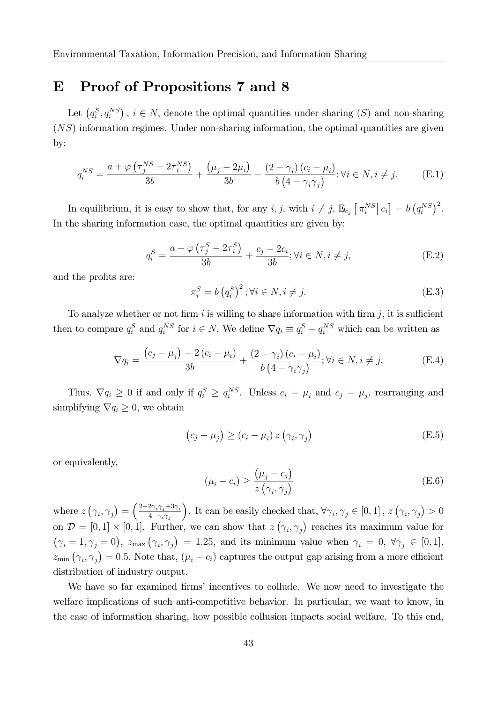#### E Proof of Propositions 7 and 8

Let  $(q_i^S, q_i^{NS})$ ,  $i \in N$ , denote the optimal quantities under sharing  $(S)$  and non-sharing  $(NS)$  information regimes. Under non-sharing information, the optimal quantities are given by:

$$
q_i^{NS} = \frac{a + \varphi\left(\tau_j^{NS} - 2\tau_i^{NS}\right)}{3b} + \frac{\left(\mu_j - 2\mu_i\right)}{3b} - \frac{\left(2 - \gamma_i\right)\left(c_i - \mu_i\right)}{b\left(4 - \gamma_i\gamma_j\right)}; \forall i \in N, i \neq j. \tag{E.1}
$$

In equilibrium, it is easy to show that, for any  $i, j$ , with  $i \neq j$ ,  $\mathbb{E}_{c_j} \left[ \pi_i^{NS} \right] c_i = b \left( q_i^{NS} \right)^2$ . In the sharing information case, the optimal quantities are given by:

$$
q_i^S = \frac{a + \varphi\left(\tau_j^S - 2\tau_i^S\right)}{3b} + \frac{c_j - 2c_i}{3b}; \forall i \in N, i \neq j,
$$
 (E.2)

and the profits are:

$$
\pi_i^S = b\left(q_i^S\right)^2; \forall i \in N, i \neq j. \tag{E.3}
$$

To analyze whether or not firm i is willing to share information with firm j, it is sufficient then to compare  $q_i^S$  and  $q_i^{NS}$  for  $i \in N$ . We define  $\nabla q_i \equiv q_i^S - q_i^{NS}$  which can be written as

$$
\nabla q_i = \frac{(c_j - \mu_j) - 2(c_i - \mu_i)}{3b} + \frac{(2 - \gamma_i)(c_i - \mu_i)}{b(4 - \gamma_i \gamma_j)}; \forall i \in N, i \neq j.
$$
 (E.4)

Thus,  $\nabla q_i \geq 0$  if and only if  $q_i^S \geq q_i^{NS}$ . Unless  $c_i = \mu_i$  and  $c_j = \mu_j$ , rearranging and simplifying  $\nabla q_i \geq 0$ , we obtain

$$
(c_j - \mu_j) \ge (c_i - \mu_i) z (\gamma_i, \gamma_j)
$$
 (E.5)

or equivalently,

$$
(\mu_i - c_i) \ge \frac{(\mu_j - c_j)}{z(\gamma_i, \gamma_j)}
$$
(E.6)

where  $z(\gamma_i, \gamma_j) = \left(\frac{2-2\gamma_i\gamma_j + 3\gamma_i}{4-\gamma_i\gamma_j}\right)$  $_{4-\gamma_i\gamma_j}$ ). It can be easily checked that,  $\forall \gamma_i, \gamma_j \in [0,1]$ ,  $z(\gamma_i, \gamma_j) > 0$ on  $\mathcal{D} = [0,1] \times [0,1]$ . Further, we can show that  $z(\gamma_i, \gamma_j)$  reaches its maximum value for  $(\gamma_i = 1, \gamma_j = 0), \ z_{\text{max}} (\gamma_i, \gamma_j) = 1.25$ , and its minimum value when  $\gamma_i = 0, \ \forall \gamma_j \in [0, 1],$  $z_{\min}(\gamma_i, \gamma_j) = 0.5$ . Note that,  $(\mu_i - c_i)$  captures the output gap arising from a more efficient distribution of industry output.

We have so far examined firms' incentives to collude. We now need to investigate the welfare implications of such anti-competitive behavior. In particular, we want to know, in the case of information sharing, how possible collusion impacts social welfare. To this end,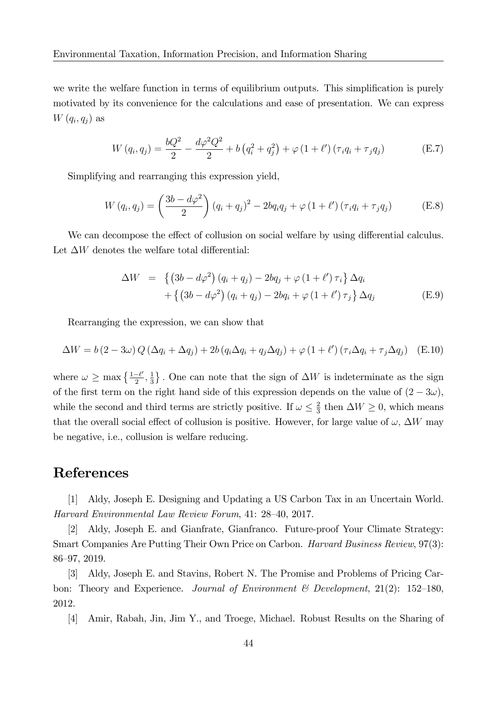we write the welfare function in terms of equilibrium outputs. This simplification is purely motivated by its convenience for the calculations and ease of presentation. We can express  $W(q_i, q_j)$  as

$$
W(q_i, q_j) = \frac{bQ^2}{2} - \frac{d\varphi^2 Q^2}{2} + b(q_i^2 + q_j^2) + \varphi(1 + \ell')(\tau_i q_i + \tau_j q_j)
$$
(E.7)

Simplifying and rearranging this expression yield,

$$
W(q_i, q_j) = \left(\frac{3b - d\varphi^2}{2}\right)(q_i + q_j)^2 - 2bq_iq_j + \varphi(1 + \ell')(\tau_iq_i + \tau_jq_j)
$$
(E.8)

We can decompose the effect of collusion on social welfare by using differential calculus. Let  $\Delta W$  denotes the welfare total differential:

$$
\Delta W = \left\{ \left(3b - d\varphi^2\right) \left(q_i + q_j\right) - 2bq_j + \varphi \left(1 + \ell'\right) \tau_i \right\} \Delta q_i
$$

$$
+ \left\{ \left(3b - d\varphi^2\right) \left(q_i + q_j\right) - 2bq_i + \varphi \left(1 + \ell'\right) \tau_j \right\} \Delta q_j \tag{E.9}
$$

Rearranging the expression, we can show that

$$
\Delta W = b (2 - 3\omega) Q (\Delta q_i + \Delta q_j) + 2b (q_i \Delta q_i + q_j \Delta q_j) + \varphi (1 + \ell') (\tau_i \Delta q_i + \tau_j \Delta q_j)
$$
 (E.10)

where  $\omega \geq \max\left\{\frac{1-\ell'}{2}\right\}$  $\frac{-\ell'}{2},\frac{1}{3}$  $\frac{1}{3}$ . One can note that the sign of  $\Delta W$  is indeterminate as the sign of the first term on the right hand side of this expression depends on the value of  $(2 - 3\omega)$ , while the second and third terms are strictly positive. If  $\omega \leq \frac{2}{3}$  $\frac{2}{3}$  then  $\Delta W \geq 0$ , which means that the overall social effect of collusion is positive. However, for large value of  $\omega$ ,  $\Delta W$  may be negative, i.e., collusion is welfare reducing.

## References

[1] Aldy, Joseph E. Designing and Updating a US Carbon Tax in an Uncertain World. Harvard Environmental Law Review Forum, 41: 28–40, 2017.

[2] Aldy, Joseph E. and Gianfrate, Gianfranco. Future-proof Your Climate Strategy: Smart Companies Are Putting Their Own Price on Carbon. Harvard Business Review, 97(3): 86–97, 2019.

[3] Aldy, Joseph E. and Stavins, Robert N. The Promise and Problems of Pricing Carbon: Theory and Experience. Journal of Environment & Development,  $21(2)$ : 152-180, 2012.

[4] Amir, Rabah, Jin, Jim Y., and Troege, Michael. Robust Results on the Sharing of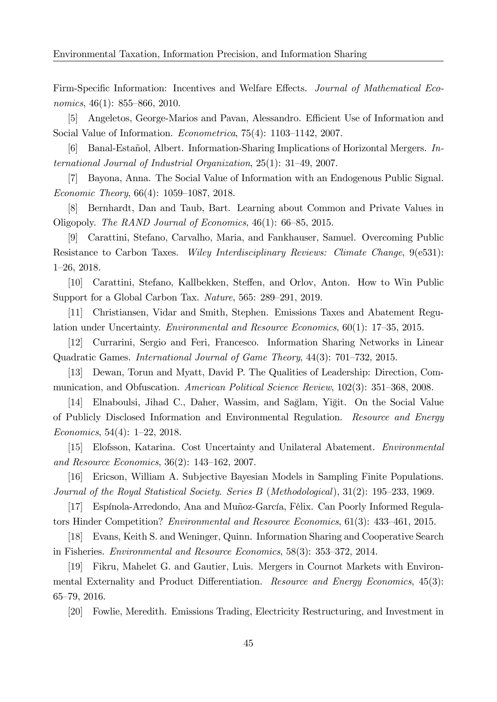Firm-Specific Information: Incentives and Welfare Effects. Journal of Mathematical Economics,  $46(1)$ : 855–866, 2010.

[5] Angeletos, George-Marios and Pavan, Alessandro. Efficient Use of Information and Social Value of Information. *Econometrica*,  $75(4)$ :  $1103-1142$ , 2007.

[6] Banal-Estañol, Albert. Information-Sharing Implications of Horizontal Mergers. International Journal of Industrial Organization,  $25(1)$ :  $31-49$ ,  $2007$ .

[7] Bayona, Anna. The Social Value of Information with an Endogenous Public Signal. Economic Theory,  $66(4)$ : 1059–1087, 2018.

[8] Bernhardt, Dan and Taub, Bart. Learning about Common and Private Values in Oligopoly. The RAND Journal of Economics,  $46(1)$ :  $66-85$ , 2015.

[9] Carattini, Stefano, Carvalho, Maria, and Fankhauser, Samuel. Overcoming Public Resistance to Carbon Taxes. Wiley Interdisciplinary Reviews: Climate Change, 9(e531):  $1-26$ , 2018.

[10] Carattini, Stefano, Kallbekken, Steffen, and Orlov, Anton. How to Win Public Support for a Global Carbon Tax. Nature, 565: 289–291, 2019.

[11] Christiansen, Vidar and Smith, Stephen. Emissions Taxes and Abatement Regulation under Uncertainty. Environmental and Resource Economics,  $60(1)$ : 17-35, 2015.

[12] Currarini, Sergio and Feri, Francesco. Information Sharing Networks in Linear Quadratic Games. International Journal of Game Theory,  $44(3)$ : 701–732, 2015.

[13] Dewan, Torun and Myatt, David P. The Qualities of Leadership: Direction, Communication, and Obfuscation. American Political Science Review,  $102(3)$ : 351–368, 2008.

[14] Elnaboulsi, Jihad C., Daher, Wassim, and Sağlam, Yiğit. On the Social Value of Publicly Disclosed Information and Environmental Regulation. Resource and Energy Economics,  $54(4)$ : 1-22, 2018.

[15] Elofsson, Katarina. Cost Uncertainty and Unilateral Abatement. Environmental and Resource Economics,  $36(2)$ : 143–162, 2007.

[16] Ericson, William A. Subjective Bayesian Models in Sampling Finite Populations. Journal of the Royal Statistical Society. Series  $B$  (Methodological),  $31(2)$ : 195–233, 1969.

[17] Espínola-Arredondo, Ana and Muñoz-García, Félix. Can Poorly Informed Regulators Hinder Competition? *Environmental and Resource Economics*,  $61(3)$ :  $433-461$ , 2015.

[18] Evans, Keith S. and Weninger, Quinn. Information Sharing and Cooperative Search in Fisheries. *Environmental and Resource Economics*, 58(3): 353–372, 2014.

[19] Fikru, Mahelet G. and Gautier, Luis. Mergers in Cournot Markets with Environmental Externality and Product Differentiation. Resource and Energy Economics, 45(3): 65-79, 2016.

[20] Fowlie, Meredith. Emissions Trading, Electricity Restructuring, and Investment in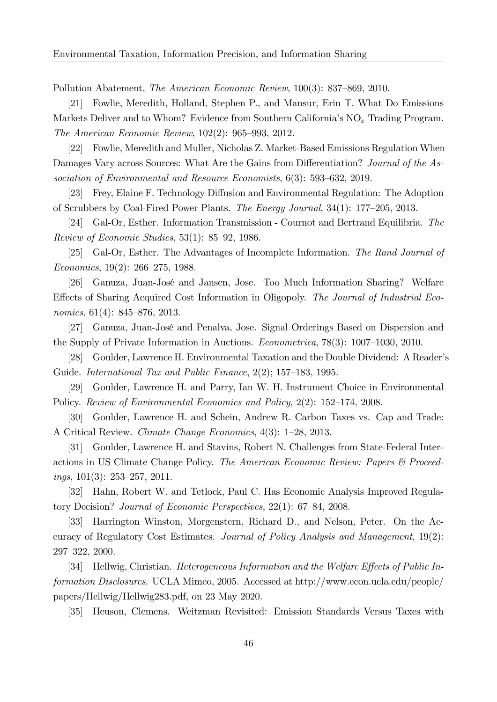Pollution Abatement, *The American Economic Review*, 100(3): 837–869, 2010.

[21] Fowlie, Meredith, Holland, Stephen P., and Mansur, Erin T. What Do Emissions Markets Deliver and to Whom? Evidence from Southern California's  $NO_x$  Trading Program. The American Economic Review,  $102(2)$ : 965–993, 2012.

[22] Fowlie, Meredith and Muller, Nicholas Z. Market-Based Emissions Regulation When Damages Vary across Sources: What Are the Gains from Differentiation? Journal of the Association of Environmental and Resource Economists,  $6(3)$ : 593–632, 2019.

[23] Frey, Elaine F. Technology Diffusion and Environmental Regulation: The Adoption of Scrubbers by Coal-Fired Power Plants. The Energy Journal,  $34(1)$ : 177–205, 2013.

[24] Gal-Or, Esther. Information Transmission - Cournot and Bertrand Equilibria. The Review of Economic Studies,  $53(1)$ :  $85-92$ , 1986.

[25] Gal-Or, Esther. The Advantages of Incomplete Information. The Rand Journal of Economics,  $19(2)$ : 266–275, 1988.

[26] Ganuza, Juan-JosÈ and Jansen, Jose. Too Much Information Sharing? Welfare Effects of Sharing Acquired Cost Information in Oligopoly. The Journal of Industrial Economics,  $61(4)$ : 845–876, 2013.

[27] Ganuza, Juan-JosÈ and Penalva, Jose. Signal Orderings Based on Dispersion and the Supply of Private Information in Auctions. *Econometrica*,  $78(3)$ :  $1007-1030$ ,  $2010$ .

[28] Goulder, Lawrence H. Environmental Taxation and the Double Dividend: A Readerís Guide. International Tax and Public Finance,  $2(2)$ ; 157–183, 1995.

[29] Goulder, Lawrence H. and Parry, Ian W. H. Instrument Choice in Environmental Policy. Review of Environmental Economics and Policy, 2(2): 152–174, 2008.

[30] Goulder, Lawrence H. and Schein, Andrew R. Carbon Taxes vs. Cap and Trade: A Critical Review. Climate Change Economics,  $4(3)$ : 1–28, 2013.

[31] Goulder, Lawrence H. and Stavins, Robert N. Challenges from State-Federal Interactions in US Climate Change Policy. The American Economic Review: Papers & Proceed $i$ ngs, 101(3): 253–257, 2011.

[32] Hahn, Robert W. and Tetlock, Paul C. Has Economic Analysis Improved Regulatory Decision? Journal of Economic Perspectives,  $22(1)$ : 67–84, 2008.

[33] Harrington Winston, Morgenstern, Richard D., and Nelson, Peter. On the Accuracy of Regulatory Cost Estimates. Journal of Policy Analysis and Management, 19(2): 297–322, 2000.

[34] Hellwig, Christian. Heterogeneous Information and the Welfare Effects of Public Information Disclosures. UCLA Mimeo, 2005. Accessed at http://www.econ.ucla.edu/people/ papers/Hellwig/Hellwig283.pdf, on 23 May 2020.

[35] Heuson, Clemens. Weitzman Revisited: Emission Standards Versus Taxes with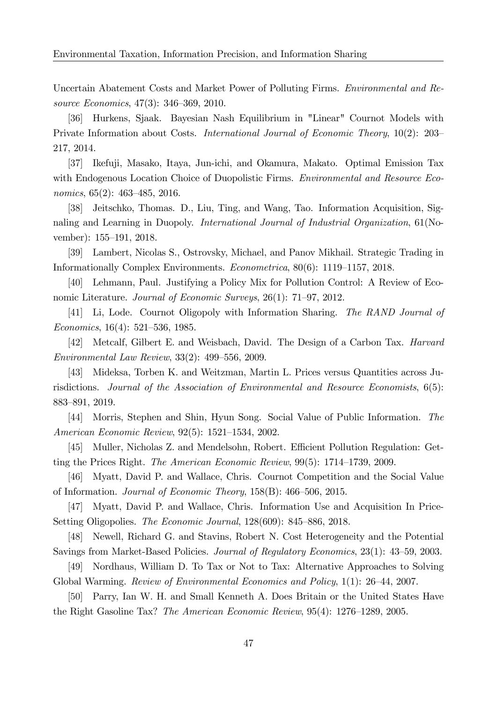Uncertain Abatement Costs and Market Power of Polluting Firms. Environmental and Resource Economics, 47(3): 346–369, 2010.

[36] Hurkens, Sjaak. Bayesian Nash Equilibrium in "Linear" Cournot Models with Private Information about Costs. *International Journal of Economic Theory*,  $10(2)$ :  $203-$ 217, 2014.

[37] Ikefuji, Masako, Itaya, Jun-ichi, and Okamura, Makato. Optimal Emission Tax with Endogenous Location Choice of Duopolistic Firms. *Environmental and Resource Eco*nomics,  $65(2)$ :  $463-485$ ,  $2016$ .

[38] Jeitschko, Thomas. D., Liu, Ting, and Wang, Tao. Information Acquisition, Signaling and Learning in Duopoly. International Journal of Industrial Organization, 61(November): 155–191, 2018.

[39] Lambert, Nicolas S., Ostrovsky, Michael, and Panov Mikhail. Strategic Trading in Informationally Complex Environments. Econometrica, 80(6): 1119–1157, 2018.

[40] Lehmann, Paul. Justifying a Policy Mix for Pollution Control: A Review of Economic Literature. Journal of Economic Surveys,  $26(1)$ : 71–97, 2012.

[41] Li, Lode. Cournot Oligopoly with Information Sharing. The RAND Journal of Economics,  $16(4)$ : 521–536, 1985.

[42] Metcalf, Gilbert E. and Weisbach, David. The Design of a Carbon Tax. Harvard Environmental Law Review,  $33(2)$ : 499–556, 2009.

[43] Mideksa, Torben K. and Weitzman, Martin L. Prices versus Quantities across Jurisdictions. Journal of the Association of Environmental and Resource Economists, 6(5): 883-891, 2019.

[44] Morris, Stephen and Shin, Hyun Song. Social Value of Public Information. The American Economic Review, 92(5): 1521–1534, 2002.

[45] Muller, Nicholas Z. and Mendelsohn, Robert. Efficient Pollution Regulation: Getting the Prices Right. *The American Economic Review*,  $99(5)$ : 1714–1739, 2009.

[46] Myatt, David P. and Wallace, Chris. Cournot Competition and the Social Value of Information. Journal of Economic Theory,  $158(B)$ :  $466-506$ , 2015.

[47] Myatt, David P. and Wallace, Chris. Information Use and Acquisition In Price-Setting Oligopolies. The Economic Journal,  $128(609)$ :  $845-886$ , 2018.

[48] Newell, Richard G. and Stavins, Robert N. Cost Heterogeneity and the Potential Savings from Market-Based Policies. Journal of Regulatory Economics, 23(1): 43–59, 2003.

[49] Nordhaus, William D. To Tax or Not to Tax: Alternative Approaches to Solving Global Warming. Review of Environmental Economics and Policy,  $1(1)$ : 26–44, 2007.

[50] Parry, Ian W. H. and Small Kenneth A. Does Britain or the United States Have the Right Gasoline Tax? The American Economic Review,  $95(4)$ : 1276–1289, 2005.